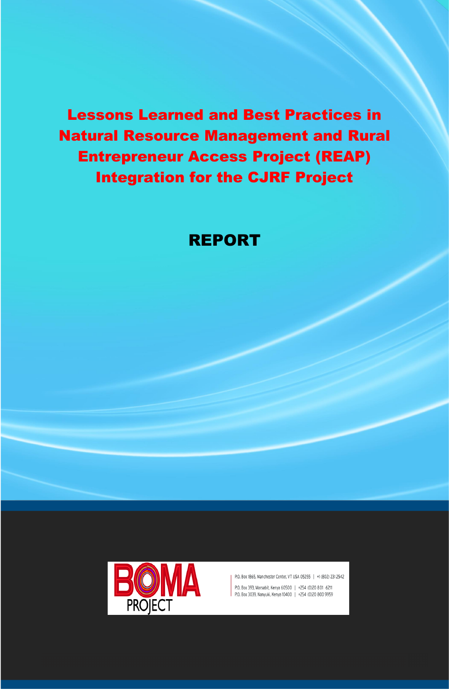Lessons Learned and Best Practices in Natural Resource Management and Rural Entrepreneur Access Project (REAP) Integration for the CJRF Project

# REPORT



P.O. Box 1865, Manchester Center, VT USA 05255 | +1 (802) 231 2542

P.O. Box 393, Marsabit, Kenya 60500 | +254 (0)20 801 6211 P.O. Box 3039, Nanyuki, Kenya 10400 | +254 (0)20 800 9959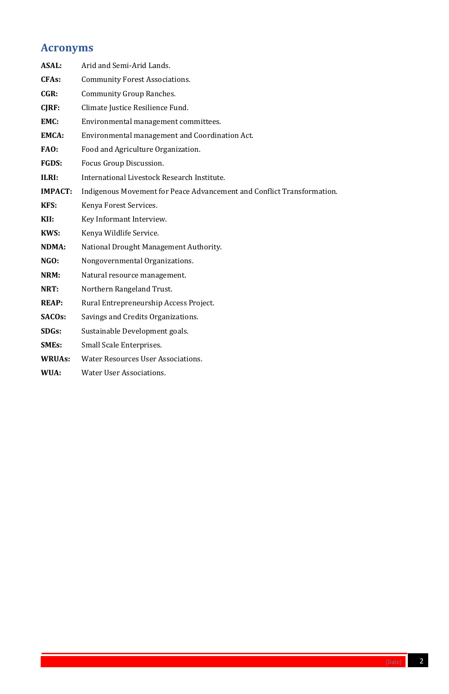

# <span id="page-1-0"></span>**Acronyms**

| <b>ASAL:</b>   | Arid and Semi-Arid Lands.                                              |
|----------------|------------------------------------------------------------------------|
| <b>CFAs:</b>   | <b>Community Forest Associations.</b>                                  |
| CGR:           | <b>Community Group Ranches.</b>                                        |
| CJRF:          | Climate Justice Resilience Fund.                                       |
| EMC:           | Environmental management committees.                                   |
| <b>EMCA:</b>   | Environmental management and Coordination Act.                         |
| FAO:           | Food and Agriculture Organization.                                     |
| <b>FGDS:</b>   | Focus Group Discussion.                                                |
| ILRI:          | International Livestock Research Institute.                            |
| <b>IMPACT:</b> | Indigenous Movement for Peace Advancement and Conflict Transformation. |
| KFS:           | Kenya Forest Services.                                                 |
| KII:           | Key Informant Interview.                                               |
| KWS:           | Kenya Wildlife Service.                                                |
| <b>NDMA:</b>   | National Drought Management Authority.                                 |
| NGO:           | Nongovernmental Organizations.                                         |
| NRM:           | Natural resource management.                                           |
| NRT:           | Northern Rangeland Trust.                                              |
| <b>REAP:</b>   | Rural Entrepreneurship Access Project.                                 |
| <b>SACOs:</b>  | Savings and Credits Organizations.                                     |
| <b>SDGs:</b>   | Sustainable Development goals.                                         |
| <b>SMEs:</b>   | <b>Small Scale Enterprises.</b>                                        |
| <b>WRUAs:</b>  | <b>Water Resources User Associations.</b>                              |
| WUA:           | <b>Water User Associations.</b>                                        |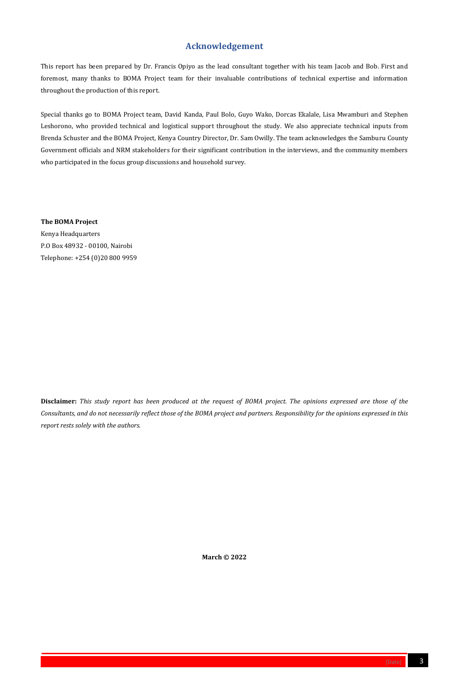

# **Acknowledgement**

<span id="page-2-0"></span>This report has been prepared by Dr. Francis Opiyo as the lead consultant together with his team Jacob and Bob. First and foremost, many thanks to BOMA Project team for their invaluable contributions of technical expertise and information throughout the production of this report.

Special thanks go to BOMA Project team, David Kanda, Paul Bolo, Guyo Wako, Dorcas Ekalale, Lisa Mwamburi and Stephen Leshorono, who provided technical and logistical support throughout the study. We also appreciate technical inputs from Brenda Schuster and the BOMA Project, Kenya Country Director, Dr. Sam Owilly. The team acknowledges the Samburu County Government officials and NRM stakeholders for their significant contribution in the interviews, and the community members who participated in the focus group discussions and household survey.

**The BOMA Project**

Kenya Headquarters P.O Box 48932 - 00100, Nairobi Telephone: +254 (0)20 800 9959

**Disclaimer:** *This study report has been produced at the request of BOMA project. The opinions expressed are those of the Consultants, and do not necessarily reflect those of the BOMA project and partners. Responsibility for the opinions expressed in this report rests solely with the authors.*

**March © 2022**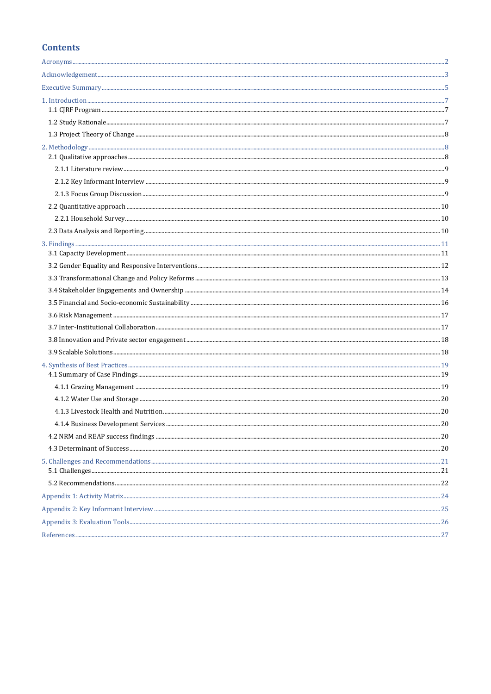# **Contents**

|--|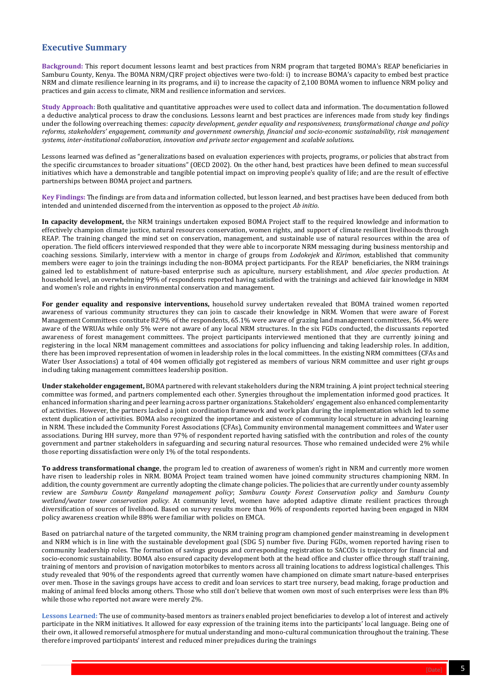

# <span id="page-4-0"></span>**Executive Summary**

**Background:** This report document lessons learnt and best practices from NRM program that targeted BOMA's REAP beneficiaries in Samburu County, Kenya. The BOMA NRM/CJRF project objectives were two-fold: i) to increase BOMA's capacity to embed best practice NRM and climate resilience learning in its programs, and ii) to increase the capacity of 2,100 BOMA women to influence NRM policy and practices and gain access to climate, NRM and resilience information and services.

**Study Approach:** Both qualitative and quantitative approaches were used to collect data and information. The documentation followed a deductive analytical process to draw the conclusions. Lessons learnt and best practices are inferences made from study key findings under the following overreaching themes: *capacity development, gender equality and responsiveness, transformational change and policy reforms, stakeholders' engagement, community and government ownership, financial and socio-economic sustainability, risk management systems, inter-institutional collaboration, innovation and private sector engagement* and *scalable solutions.*

Lessons learned was defined as "generalizations based on evaluation experiences with projects, programs, or policies that abstract from the specific circumstances to broader situations" (OECD 2002). On the other hand, best practices have been defined to mean successful initiatives which have a demonstrable and tangible potential impact on improving people's quality of life; and are the result of effective partnerships between BOMA project and partners.

**Key Findings:** The findings are from data and information collected, but lesson learned, and best practises have been deduced from both intended and unintended discerned from the intervention as opposed to the project *Ab initio*.

**In capacity development,** the NRM trainings undertaken exposed BOMA Project staff to the required knowledge and information to effectively champion climate justice, natural resources conservation, women rights, and support of climate resilient livelihoods through REAP. The training changed the mind set on conservation, management, and sustainable use of natural resources within the area of operation. The field officers interviewed responded that they were able to incorporate NRM messaging during business mentorship and coaching sessions. Similarly, interview with a mentor in charge of groups from *Lodokejek* and *Kirimon,* established that community members were eager to join the trainings including the non-BOMA project participants. For the REAP beneficiaries, the NRM trainings gained led to establishment of nature-based enterprise such as apiculture, nursery establishment, and *Aloe species* production. At household level, an overwhelming 99% of respondents reported having satisfied with the trainings and achieved fair knowledge in NRM and women's role and rights in environmental conservation and management.

**For gender equality and responsive interventions,** household survey undertaken revealed that BOMA trained women reported awareness of various community structures they can join to cascade their knowledge in NRM. Women that were aware of Forest Management Committees constitute 82.9% of the respondents, 65.1% were aware of grazing land management committees, 56.4% were aware of the WRUAs while only 5% were not aware of any local NRM structures. In the six FGDs conducted, the discussants reported awareness of forest management committees. The project participants interviewed mentioned that they are currently joining and registering in the local NRM management committees and associations for policy influencing and taking leadership roles. In addition, there has been improved representation of women in leadership roles in the local committees. In the existing NRM committees (CFAs and Water User Associations) a total of 404 women officially got registered as members of various NRM committee and user right groups including taking management committees leadership position.

**Under stakeholder engagement,** BOMA partnered with relevant stakeholders during the NRM training. A joint project technical steering committee was formed, and partners complemented each other. Synergies throughout the implementation informed good practices. It enhanced information sharing and peer learning across partner organizations. Stakeholders' engagement also enhanced complementarity of activities. However, the partners lacked a joint coordination framework and work plan during the implementation which led to some extent duplication of activities. BOMA also recognized the importance and existence of community local structure in advancing learning in NRM. These included the Community Forest Associations (CFAs), Community environmental management committees and Water user associations. During HH survey, more than 97% of respondent reported having satisfied with the contribution and roles of the county government and partner stakeholders in safeguarding and securing natural resources. Those who remained undecided were 2% while those reporting dissatisfaction were only 1% of the total respondents.

**To address transformational change**, the program led to creation of awareness of women's right in NRM and currently more women have risen to leadership roles in NRM. BOMA Project team trained women have joined community structures championing NRM. In addition, the county government are currently adopting the climate change policies. The policies that are currently under county assembly review are *Samburu County Rangeland management policy*; *Samburu County Forest Conservation policy* and *Samburu County wetland/water tower conservation policy.* At community level, women have adopted adaptive climate resilient practices through diversification of sources of livelihood. Based on survey results more than 96% of respondents reported having been engaged in NRM policy awareness creation while 88% were familiar with policies on EMCA.

Based on patriarchal nature of the targeted community, the NRM training program championed gender mainstreaming in development and NRM which is in line with the sustainable development goal (SDG 5) number five. During FGDs, women reported having risen to community leadership roles. The formation of savings groups and corresponding registration to SACCOs is trajectory for financial and socio-economic sustainability. BOMA also ensured capacity development both at the head office and cluster office through staff training, training of mentors and provision of navigation motorbikes to mentors across all training locations to address logistical challenges. This study revealed that 90% of the respondents agreed that currently women have championed on climate smart nature-based enterprises over men. Those in the savings groups have access to credit and loan services to start tree nursery, bead making, forage production and making of animal feed blocks among others. Those who still don't believe that women own most of such enterprises were less than 8% while those who reported not aware were merely 2%.

**Lessons Learned:** The use of community-based mentors as trainers enabled project beneficiaries to develop a lot of interest and actively participate in the NRM initiatives. It allowed for easy expression of the training items into the participants' local language. Being one of their own, it allowed remorseful atmosphere for mutual understanding and mono-cultural communication throughout the training. These therefore improved participants' interest and reduced miner prejudices during the trainings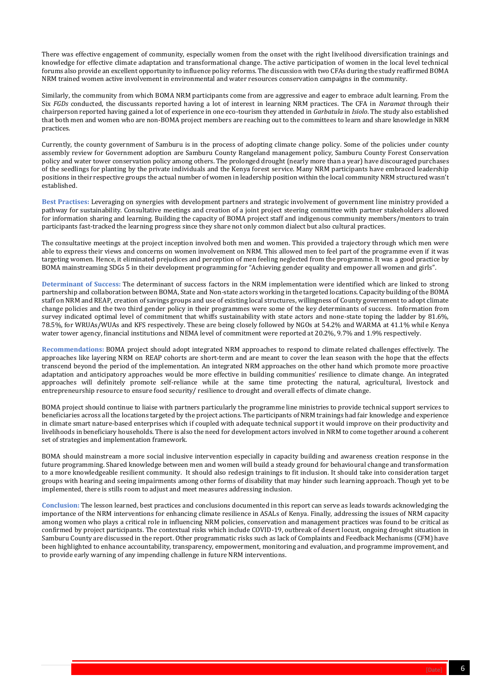

There was effective engagement of community, especially women from the onset with the right livelihood diversification trainings and knowledge for effective climate adaptation and transformational change. The active participation of women in the local level technical forums also provide an excellent opportunity to influence policy reforms. The discussion with two CFAs during the study reaffirmed BOMA NRM trained women active involvement in environmental and water resources conservation campaigns in the community.

Similarly, the community from which BOMA NRM participants come from are aggressive and eager to embrace adult learning. From the Six *FGDs* conducted, the discussants reported having a lot of interest in learning NRM practices. The CFA in *Naramat* through their chairperson reported having gained a lot of experience in one eco-tourism they attended in *Garbatula* in *Isiolo*. The study also established that both men and women who are non-BOMA project members are reaching out to the committees to learn and share knowledge in NRM practices.

Currently, the county government of Samburu is in the process of adopting climate change policy. Some of the policies under county assembly review for Government adoption are Samburu County Rangeland management policy, Samburu County Forest Conservation policy and water tower conservation policy among others. The prolonged drought (nearly more than a year) have discouraged purchases of the seedlings for planting by the private individuals and the Kenya forest service. Many NRM participants have embraced leadership positions in their respective groups the actual number of women in leadership position within the local community NRM structured wasn't established.

**Best Practises:** Leveraging on synergies with development partners and strategic involvement of government line ministry provided a pathway for sustainability. Consultative meetings and creation of a joint project steering committee with partner stakeholders allowed for information sharing and learning. Building the capacity of BOMA project staff and indigenous community members/mentors to train participants fast-tracked the learning progress since they share not only common dialect but also cultural practices.

The consultative meetings at the project inception involved both men and women. This provided a trajectory through which men were able to express their views and concerns on women involvement on NRM. This allowed men to feel part of the programme even if it was targeting women. Hence, it eliminated prejudices and perception of men feeling neglected from the programme. It was a good practice by BOMA mainstreaming SDGs 5 in their development programming for "Achieving gender equality and empower all women and girls".

**Determinant of Success:** The determinant of success factors in the NRM implementation were identified which are linked to strong partnership and collaboration between BOMA, State and Non-state actors working in the targeted locations. Capacity building of the BOMA staff on NRM and REAP, creation of savings groups and use of existing local structures, willingness of County government to adopt climate change policies and the two third gender policy in their programmes were some of the key determinants of success. Information from survey indicated optimal level of commitment that whiffs sustainability with state actors and none-state toping the ladder by 81.6%, 78.5%, for WRUAs/WUAs and KFS respectively. These are being closely followed by NGOs at 54.2% and WARMA at 41.1% while Kenya water tower agency, financial institutions and NEMA level of commitment were reported at 20.2%, 9.7% and 1.9% respectively.

**Recommendations:** BOMA project should adopt integrated NRM approaches to respond to climate related challenges effectively. The approaches like layering NRM on REAP cohorts are short-term and are meant to cover the lean season with the hope that the effects transcend beyond the period of the implementation. An integrated NRM approaches on the other hand which promote more proactive adaptation and anticipatory approaches would be more effective in building communities' resilience to climate change. An integrated approaches will definitely promote self-reliance while at the same time protecting the natural, agricultural, livestock and entrepreneurship resource to ensure food security/ resilience to drought and overall effects of climate change.

BOMA project should continue to liaise with partners particularly the programme line ministries to provide technical support services to beneficiaries across all the locations targeted by the project actions. The participants of NRM trainings had fair knowledge and experience in climate smart nature-based enterprises which if coupled with adequate technical support it would improve on their productivity and livelihoods in beneficiary households. There is also the need for development actors involved in NRM to come together around a coherent set of strategies and implementation framework.

BOMA should mainstream a more social inclusive intervention especially in capacity building and awareness creation response in the future programming. Shared knowledge between men and women will build a steady ground for behavioural change and transformation to a more knowledgeable resilient community. It should also redesign trainings to fit inclusion. It should take into consideration target groups with hearing and seeing impairments among other forms of disability that may hinder such learning approach. Though yet to be implemented, there is stills room to adjust and meet measures addressing inclusion.

**Conclusion:** The lesson learned, best practices and conclusions documented in this report can serve as leads towards acknowledging the importance of the NRM interventions for enhancing climate resilience in ASALs of Kenya. Finally, addressing the issues of NRM capacity among women who plays a critical role in influencing NRM policies, conservation and management practices was found to be critical as confirmed by project participants. The contextual risks which include COVID-19, outbreak of desert locust, ongoing drought situation in Samburu County are discussed in the report. Other programmatic risks such as lack of Complaints and Feedback Mechanisms (CFM) have been highlighted to enhance accountability, transparency, empowerment, monitoring and evaluation, and programme improvement, and to provide early warning of any impending challenge in future NRM interventions.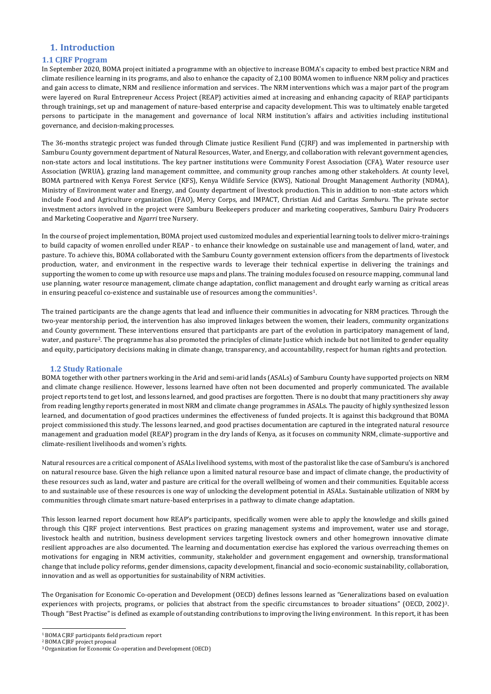# <span id="page-6-0"></span>**1. Introduction**

# <span id="page-6-1"></span>**1.1 CJRF Program**

In September 2020, BOMA project initiated a programme with an objective to increase BOMA's capacity to embed best practice NRM and climate resilience learning in its programs, and also to enhance the capacity of 2,100 BOMA women to influence NRM policy and practices and gain access to climate, NRM and resilience information and services. The NRM interventions which was a major part of the program were layered on Rural Entrepreneur Access Project (REAP) activities aimed at increasing and enhancing capacity of REAP participants through trainings, set up and management of nature-based enterprise and capacity development. This was to ultimately enable targeted persons to participate in the management and governance of local NRM institution's affairs and activities including institutional governance, and decision-making processes.

In the course of project implementation, BOMA project used customized modules and experiential learning tools to deliver micro-trainings to build capacity of women enrolled under REAP - to enhance their knowledge on sustainable use and management of land, water, and pasture. To achieve this, BOMA collaborated with the Samburu County government extension officers from the departments of livestock production, water, and environment in the respective wards to leverage their technical expertise in delivering the trainings and supporting the women to come up with resource use maps and plans. The training modules focused on resource mapping, communal land use planning, water resource management, climate change adaptation, conflict management and drought early warning as critical areas in ensuring peaceful co-existence and sustainable use of resources among the communities<sup>1</sup>.

The 36-months strategic project was funded through Climate justice Resilient Fund (CJRF) and was implemented in partnership with Samburu County government department of Natural Resources, Water, and Energy, and collaboration with relevant government agencies, non-state actors and local institutions. The key partner institutions were Community Forest Association (CFA), Water resource user Association (WRUA), grazing land management committee, and community group ranches among other stakeholders. At county level, BOMA partnered with Kenya Forest Service (KFS), Kenya Wildlife Service (KWS), National Drought Management Authority (NDMA), Ministry of Environment water and Energy, and County department of livestock production. This in addition to non-state actors which include Food and Agriculture organization (FAO), Mercy Corps, and IMPACT, Christian Aid and Caritas *Samburu*. The private sector investment actors involved in the project were Samburu Beekeepers producer and marketing cooperatives, Samburu Dairy Producers and Marketing Cooperative and *Ngarri* tree Nursery.

The trained participants are the change agents that lead and influence their communities in advocating for NRM practices. Through the two-year mentorship period, the intervention has also improved linkages between the women, their leaders, community organizations and County government. These interventions ensured that participants are part of the evolution in participatory management of land, water, and pasture<sup>2</sup>. The programme has also promoted the principles of climate Justice which include but not limited to gender equality and equity, participatory decisions making in climate change, transparency, and accountability, respect for human rights and protection.

# <span id="page-6-2"></span>**1.2 Study Rationale**

BOMA together with other partners working in the Arid and semi-arid lands (ASALs) of Samburu County have supported projects on NRM and climate change resilience. However, lessons learned have often not been documented and properly communicated. The available project reports tend to get lost, and lessons learned, and good practises are forgotten. There is no doubt that many practitioners shy away from reading lengthy reports generated in most NRM and climate change programmes in ASALs. The paucity of highly synthesized lesson learned, and documentation of good practices undermines the effectiveness of funded projects. It is against this background that BOMA project commissioned this study. The lessons learned, and good practises documentation are captured in the integrated natural resource management and graduation model (REAP) program in the dry lands of Kenya, as it focuses on community NRM, climate-supportive and climate-resilient livelihoods and women's rights.

Natural resources are a critical component of ASALs livelihood systems, with most of the pastoralist like the case of Samburu's is anchored on natural resource base. Given the high reliance upon a limited natural resource base and impact of climate change, the productivity of these resources such as land, water and pasture are critical for the overall wellbeing of women and their communities. Equitable access to and sustainable use of these resources is one way of unlocking the development potential in ASALs. Sustainable utilization of NRM by communities through climate smart nature-based enterprises in a pathway to climate change adaptation.

This lesson learned report document how REAP's participants, specifically women were able to apply the knowledge and skills gained

through this CJRF project interventions. Best practices on grazing management systems and improvement, water use and storage, livestock health and nutrition, business development services targeting livestock owners and other homegrown innovative climate resilient approaches are also documented. The learning and documentation exercise has explored the various overreaching themes on motivations for engaging in NRM activities, community, stakeholder and government engagement and ownership, transformational change that include policy reforms, gender dimensions, capacity development, financial and socio-economic sustainability, collaboration, innovation and as well as opportunities for sustainability of NRM activities.

The Organisation for Economic Co-operation and Development (OECD) defines lessons learned as "Generalizations based on evaluation experiences with projects, programs, or policies that abstract from the specific circumstances to broader situations" (OECD, 2002)<sup>3</sup>. Though "Best Practise" is defined as example of outstanding contributions to improving the living environment. In this report, it has been

<sup>1</sup> BOMA CJRF participants field practicum report

<sup>2</sup> BOMA CJRF project proposal

<sup>3</sup> Organization for Economic Co-operation and Development (OECD)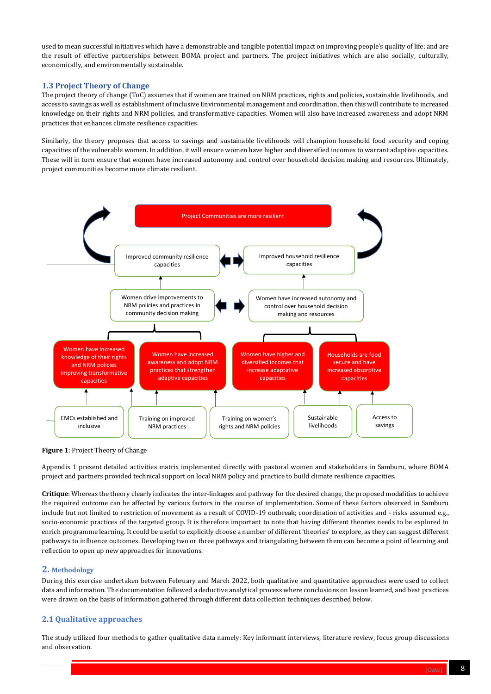

used to mean successful initiatives which have a demonstrable and tangible potential impact on improving people's quality of life; and are the result of effective partnerships between BOMA project and partners. The project initiatives which are also socially, culturally, economically, and environmentally sustainable.

# <span id="page-7-0"></span>**1.3 Project Theory of Change**

The project theory of change (ToC) assumes that if women are trained on NRM practices, rights and policies, sustainable livelihoods, and access to savings as well as establishment of inclusive Environmental management and coordination, then this will contribute to increased knowledge on their rights and NRM policies, and transformative capacities. Women will also have increased awareness and adopt NRM practices that enhances climate resilience capacities.

Similarly, the theory proposes that access to savings and sustainable livelihoods will champion household food security and coping capacities of the vulnerable women. In addition, it will ensure women have higher and diversified incomes to warrant adaptive capacities. These will in turn ensure that women have increased autonomy and control over household decision making and resources. Ultimately, project communities become more climate resilient.

Appendix 1 present detailed activities matrix implemented directly with pastoral women and stakeholders in Samburu, where BOMA project and partners provided technical support on local NRM policy and practice to build climate resilience capacities.

**Critique**: Whereas the theory clearly indicates the inter-linkages and pathway for the desired change, the proposed modalities to achieve the required outcome can be affected by various factors in the course of implementation. Some of these factors observed in Samburu include but not limited to restriction of movement as a result of COVID-19 outbreak; coordination of activities and - risks assumed e.g., socio-economic practices of the targeted group. It is therefore important to note that having different theories needs to be explored to enrich programme learning. It could be useful to explicitly choose a number of different 'theories' to explore, as they can suggest different pathways to influence outcomes. Developing two or three pathways and triangulating between them can become a point of learning and reflection to open up new approaches for innovations.



**Figure 1**: Project Theory of Change

# <span id="page-7-1"></span>**2. Methodology**

During this exercise undertaken between February and March 2022, both qualitative and quantitative approaches were used to collect data and information. The documentation followed a deductive analytical process where conclusions on lesson learned, and best practices were drawn on the basis of information gathered through different data collection techniques described below.

# <span id="page-7-2"></span>**2.1 Qualitative approaches**

The study utilized four methods to gather qualitative data namely: Key informant interviews, literature review, focus group discussions and observation.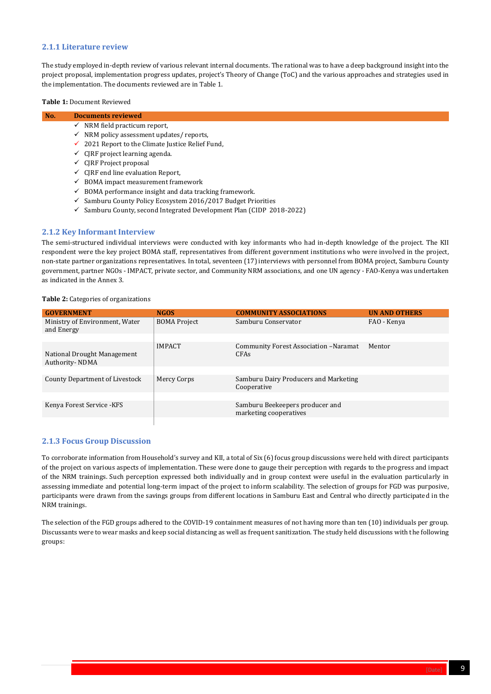

# <span id="page-8-0"></span>**2.1.1 Literature review**

The study employed in-depth review of various relevant internal documents. The rational was to have a deep background insight into the project proposal, implementation progress updates, project's Theory of Change (ToC) and the various approaches and strategies used in the implementation. The documents reviewed are in Table 1.

#### **Table 1:** Document Reviewed

- $\checkmark$  BOMA impact measurement framework
- $\checkmark$  BOMA performance insight and data tracking framework.
- $\checkmark$  Samburu County Policy Ecosystem 2016/2017 Budget Priorities
- ✓ Samburu County, second Integrated Development Plan (CIDP 2018-2022)

| No. | <b>Documents reviewed</b>                                    |
|-----|--------------------------------------------------------------|
|     | $\checkmark$ NRM field practicum report,                     |
|     | $\checkmark$ NRM policy assessment updates/ reports,         |
|     | $\checkmark$ 2021 Report to the Climate Justice Relief Fund, |
|     | $\checkmark$ CJRF project learning agenda.                   |
|     | $\checkmark$ CJRF Project proposal                           |
|     | $\checkmark$ CJRF end line evaluation Report,                |

# <span id="page-8-1"></span>**2.1.2 Key Informant Interview**

The semi-structured individual interviews were conducted with key informants who had in-depth knowledge of the project. The KII respondent were the key project BOMA staff, representatives from different government institutions who were involved in the project, non-state partner organizations representatives. In total, seventeen (17) interviews with personnel from BOMA project, Samburu County government, partner NGOs - IMPACT, private sector, and Community NRM associations, and one UN agency - FAO-Kenya was undertaken as indicated in the Annex 3.

#### **Table 2:** Categories of organizations

| <b>GOVERNMENT</b>                             | <b>NGOS</b>         | <b>COMMUNITY ASSOCIATIONS</b>                             | <b>UN AND OTHERS</b> |
|-----------------------------------------------|---------------------|-----------------------------------------------------------|----------------------|
| Ministry of Environment, Water<br>and Energy  | <b>BOMA Project</b> | Samburu Conservator                                       | FAO - Kenya          |
|                                               |                     |                                                           |                      |
| National Drought Management<br>Authority-NDMA | <b>IMPACT</b>       | Community Forest Association -Naramat<br>CFAs             | Mentor               |
|                                               |                     |                                                           |                      |
| County Department of Livestock                | Mercy Corps         | Samburu Dairy Producers and Marketing<br>Cooperative      |                      |
|                                               |                     |                                                           |                      |
| Kenya Forest Service - KFS                    |                     | Samburu Beekeepers producer and<br>marketing cooperatives |                      |
|                                               |                     |                                                           |                      |

# <span id="page-8-2"></span>**2.1.3 Focus Group Discussion**

To corroborate information from Household's survey and KII, a total of Six (6) focus group discussions were held with direct participants of the project on various aspects of implementation. These were done to gauge their perception with regards to the progress and impact of the NRM trainings. Such perception expressed both individually and in group context were useful in the evaluation particularly in assessing immediate and potential long-term impact of the project to inform scalability. The selection of groups for FGD was purposive, participants were drawn from the savings groups from different locations in Samburu East and Central who directly participated in the NRM trainings.

The selection of the FGD groups adhered to the COVID-19 containment measures of not having more than ten (10) individuals per group.

Discussants were to wear masks and keep social distancing as well as frequent sanitization. The study held discussions with the following groups: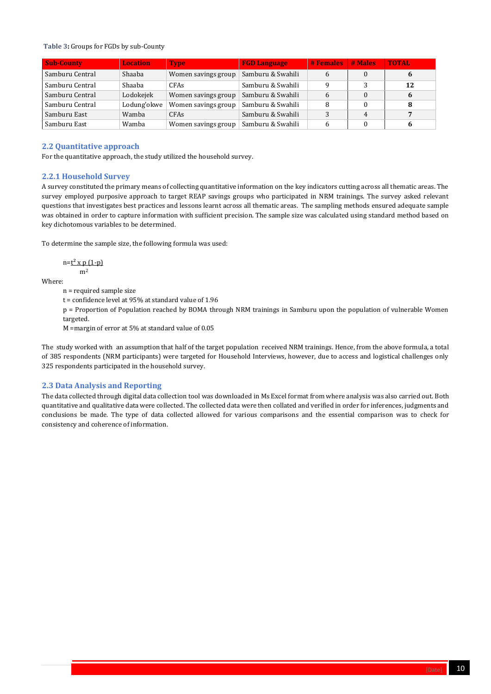

#### **Table 3:** Groups for FGDs by sub-County

| <b>Sub-County</b> | <b>Location</b> | <b>Type</b>         | <b>FGD Language</b> | <b>#Females # Males</b> |   | <b>TOTAL</b> |
|-------------------|-----------------|---------------------|---------------------|-------------------------|---|--------------|
| Samburu Central   | Shaaba          | Women savings group | Samburu & Swahili   | 6                       |   | 6            |
| Samburu Central   | Shaaba          | <b>CFAs</b>         | Samburu & Swahili   | Q                       | 3 | 12           |
| Samburu Central   | Lodokejek       | Women savings group | Samburu & Swahili   | 6                       | 0 | 6            |
| Samburu Central   | Lodung'okwe     | Women savings group | Samburu & Swahili   | 8                       |   | 8            |
| Samburu East      | Wamba           | <b>CFAs</b>         | Samburu & Swahili   | 3                       | 4 | 7            |
| Samburu East      | Wamba           | Women savings group | Samburu & Swahili   | 6                       |   | 6            |

# <span id="page-9-0"></span>**2.2 Quantitative approach**

For the quantitative approach, the study utilized the household survey.

# <span id="page-9-1"></span>**2.2.1 Household Survey**

A survey constituted the primary means of collecting quantitative information on the key indicators cutting across all thematic areas. The survey employed purposive approach to target REAP savings groups who participated in NRM trainings. The survey asked relevant questions that investigates best practices and lessons learnt across all thematic areas. The sampling methods ensured adequate sample was obtained in order to capture information with sufficient precision. The sample size was calculated using standard method based on key dichotomous variables to be determined.

To determine the sample size, the following formula was used:

$$
n=\underbrace{t^2 \times p (1-p)}_{m^2}
$$

Where:

n = required sample size

t = confidence level at 95% at standard value of 1.96

p = Proportion of Population reached by BOMA through NRM trainings in Samburu upon the population of vulnerable Women targeted.

M =margin of error at 5% at standard value of 0.05

The study worked with an assumption that half of the target population received NRM trainings. Hence, from the above formula, a total of 385 respondents (NRM participants) were targeted for Household Interviews, however, due to access and logistical challenges only 325 respondents participated in the household survey.

# <span id="page-9-2"></span>**2.3 Data Analysis and Reporting**

The data collected through digital data collection tool was downloaded in Ms Excel format from where analysis was also carried out. Both quantitative and qualitative data were collected. The collected data were then collated and verified in order for inferences, judgments and conclusions be made. The type of data collected allowed for various comparisons and the essential comparison was to check for consistency and coherence of information.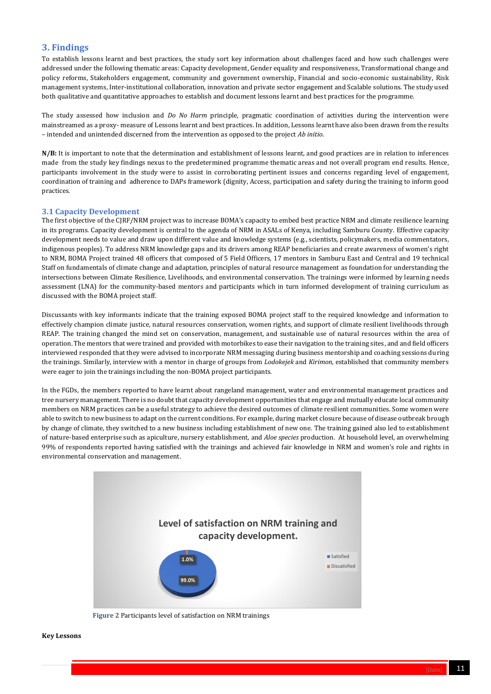

# <span id="page-10-0"></span>**3. Findings**

To establish lessons learnt and best practices, the study sort key information about challenges faced and how such challenges were addressed under the following thematic areas: Capacity development, Gender equality and responsiveness, Transformational change and policy reforms, Stakeholders engagement, community and government ownership, Financial and socio-economic sustainability, Risk management systems, Inter-institutional collaboration, innovation and private sector engagement and Scalable solutions. The study used both qualitative and quantitative approaches to establish and document lessons learnt and best practices for the programme.

The study assessed how inclusion and *Do No Harm* principle, pragmatic coordination of activities during the intervention were mainstreamed as a proxy- measure of Lessons learnt and best practices. In addition, Lessons learnt have also been drawn from the results – intended and unintended discerned from the intervention as opposed to the project *Ab initio*.

**N/B:** It is important to note that the determination and establishment of lessons learnt, and good practices are in relation to inferences made from the study key findings nexus to the predetermined programme thematic areas and not overall program end results. Hence, participants involvement in the study were to assist in corroborating pertinent issues and concerns regarding level of engagement, coordination of training and adherence to DAPs framework (dignity, Access, participation and safety during the training to inform good practices.

#### <span id="page-10-1"></span>**3.1 Capacity Development**

The first objective of the CJRF/NRM project was to increase BOMA's capacity to embed best practice NRM and climate resilience learning in its programs. Capacity development is central to the agenda of NRM in ASALs of Kenya, including Samburu County. Effective capacity development needs to value and draw upon different value and knowledge systems (e.g., scientists, policymakers, media commentators, indigenous peoples). To address NRM knowledge gaps and its drivers among REAP beneficiaries and create awareness of women's right to NRM, BOMA Project trained 48 officers that composed of 5 Field Officers, 17 mentors in Samburu East and Central and 19 technical Staff on fundamentals of climate change and adaptation, principles of natural resource management as foundation for understanding the intersections between Climate Resilience, Livelihoods, and environmental conservation. The trainings were informed by learning needs assessment (LNA) for the community-based mentors and participants which in turn informed development of training curriculum as discussed with the BOMA project staff.

Discussants with key informants indicate that the training exposed BOMA project staff to the required knowledge and information to effectively champion climate justice, natural resources conservation, women rights, and support of climate resilient livelihoods through REAP. The training changed the mind set on conservation, management, and sustainable use of natural resources within the area of operation. The mentors that were trained and provided with motorbikes to ease their navigation to the training sites, and and field officers interviewed responded that they were advised to incorporate NRM messaging during business mentorship and coaching sessions during the trainings. Similarly, interview with a mentor in charge of groups from *Lodokejek* and *Kirimon,* established that community members were eager to join the trainings including the non-BOMA project participants.

In the FGDs, the members reported to have learnt about rangeland management, water and environmental management practices and tree nursery management. There is no doubt that capacity development opportunities that engage and mutually educate local community members on NRM practices can be a useful strategy to achieve the desired outcomes of climate resilient communities. Some women were able to switch to new business to adapt on the current conditions. For example, during market closure because of disease outbreak brough by change of climate, they switched to a new business including establishment of new one. The training gained also led to establishment of nature-based enterprise such as apiculture, nursery establishment, and *Aloe species* production. At household level, an overwhelming 99% of respondents reported having satisfied with the trainings and achieved fair knowledge in NRM and women's role and rights in environmental conservation and management.

#### **Key Lessons**

# **Level of satisfaction on NRM training and**



**Figure 2** Participants level of satisfaction on NRM trainings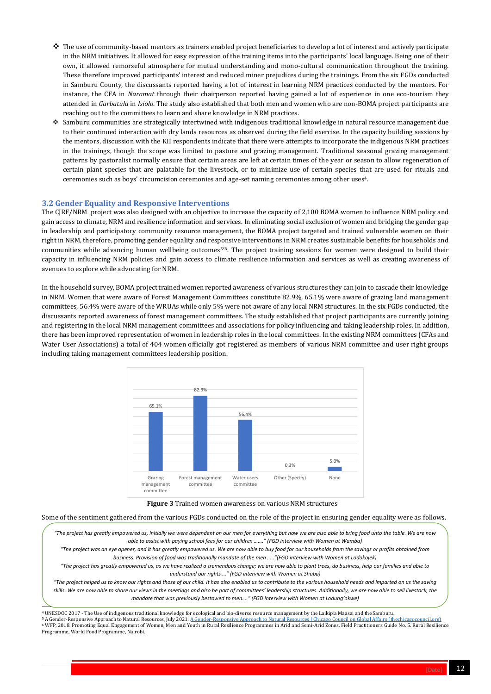

- $\clubsuit$  The use of community-based mentors as trainers enabled project beneficiaries to develop a lot of interest and actively participate in the NRM initiatives. It allowed for easy expression of the training items into the participants' local language. Being one of their own, it allowed remorseful atmosphere for mutual understanding and mono-cultural communication throughout the training. These therefore improved participants' interest and reduced miner prejudices during the trainings. From the six FGDs conducted in Samburu County, the discussants reported having a lot of interest in learning NRM practices conducted by the mentors. For instance, the CFA in *Naramat* through their chairperson reported having gained a lot of experience in one eco-tourism they attended in *Garbatula* in *Isiolo*. The study also established that both men and women who are non-BOMA project participants are reaching out to the committees to learn and share knowledge in NRM practices.
- ❖ Samburu communities are strategically intertwined with indigenous traditional knowledge in natural resource management due to their continued interaction with dry lands resources as observed during the field exercise. In the capacity building sessions by the mentors, discussion with the KII respondents indicate that there were attempts to incorporate the indigenous NRM practices in the trainings, though the scope was limited to pasture and grazing management. Traditional seasonal grazing management patterns by pastoralist normally ensure that certain areas are left at certain times of the year or season to allow regeneration of certain plant species that are palatable for the livestock, or to minimize use of certain species that are used for rituals and ceremonies such as boys' circumcision ceremonies and age-set naming ceremonies among other uses4.

# <span id="page-11-0"></span>**3.2 Gender Equality and Responsive Interventions**

The CJRF/NRM project was also designed with an objective to increase the capacity of 2,100 BOMA women to influence NRM policy and gain access to climate, NRM and resilience information and services. In eliminating social exclusion of women and bridging the gender gap in leadership and participatory community resource management, the BOMA project targeted and trained vulnerable women on their right in NRM, therefore, promoting gender equality and responsive interventions in NRM creates sustainable benefits for households and communities while advancing human wellbeing outcomes<sup>5'6</sup>. The project training sessions for women were designed to build their capacity in influencing NRM policies and gain access to climate resilience information and services as well as creating awareness of avenues to explore while advocating for NRM.

"The project has greatly empowered us, initially we were dependent on our men for everything but now we are also able to bring food unto the table. We are now *able to assist with paying school fees for our children ……." (FGD interview with Women at Wamba)*

In the household survey, BOMA project trained women reported awareness of various structures they can join to cascade their knowledge in NRM. Women that were aware of Forest Management Committees constitute 82.9%, 65.1% were aware of grazing land management committees, 56.4% were aware of the WRUAs while only 5% were not aware of any local NRM structures. In the six FGDs conducted, the discussants reported awareness of forest management committees. The study established that project participants are currently joining and registering in the local NRM management committees and associations for policy influencing and taking leadership roles. In addition, there has been improved representation of women in leadership roles in the local committees. In the existing NRM committees (CFAs and Water User Associations) a total of 404 women officially got registered as members of various NRM committee and user right groups including taking management committees leadership position.

Some of the sentiment gathered from the various FGDs conducted on the role of the project in ensuring gender equality were as follows.



**Figure 3** Trained women awareness on various NRM structures

<sup>4</sup> UNESDOC 2017 - The Use of indigenous traditional knowledge for ecological and bio-diverse resource management by the Laikipia Maasai and the Samburu. <sup>5</sup> A Gender-Responsive Approach to Natural Resources, July 2021[: A Gender-Responsive Approach to Natural Resources | Chicago Council on Global Affairs \(thechicagocouncil.org\)](https://www.thechicagocouncil.org/commentary-and-analysis/blogs/gender-responsive-approach-natural-resources) <sup>6</sup> WFP, 2018. Promoting Equal Engagement of Women, Men and Youth in Rural Resilience Programmes in Arid and Semi-Arid Zones. Field Practitioners Guide No. 5. Rural Resilience Programme, World Food Programme, Nairobi.

*"The project was an eye opener, and it has greatly empowered us. We are now able to buy food for our households from the savings or profits obtained from business. Provision of food was traditionally mandate of the men ….."(FGD interview with Women at Lodokojek)*

*"The project has greatly empowered us, as we have realized a tremendous change; we are now able to plant trees, do business, help our families and able to understand our rights …" (FGD interview with Women at Shaba)*

*"The project helped us to know our rights and those of our child. It has also enabled us to contribute to the various household needs and imparted on us the saving skills. We are now able to share our views in the meetings and also be part of committees' leadership structures. Additionally, we are now able to sell livestock, the mandate that was previously bestowed to men…." (FGD interview with Women at Lodung'okwe)*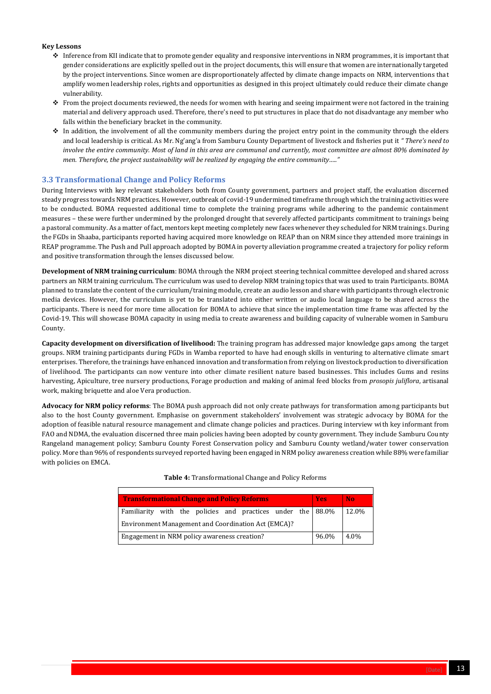

#### **Key Lessons**

- ◆ Inference from KII indicate that to promote gender equality and responsive interventions in NRM programmes, it is important that gender considerations are explicitly spelled out in the project documents, this will ensure that women are internationally targeted by the project interventions. Since women are disproportionately affected by climate change impacts on NRM, interventions that amplify women leadership roles, rights and opportunities as designed in this project ultimately could reduce their climate change vulnerability.
- ❖ From the project documents reviewed, the needs for women with hearing and seeing impairment were not factored in the training material and delivery approach used. Therefore, there's need to put structures in place that do not disadvantage any member who falls within the beneficiary bracket in the community.
- ❖ In addition, the involvement of all the community members during the project entry point in the community through the elders and local leadership is critical. As Mr. Ng'ang'a from Samburu County Department of livestock and fisheries put it *" There's need to involve the entire community. Most of land in this area are communal and currently, most committee are almost 80% dominated by men. Therefore, the project sustainability will be realized by engaging the entire community….."*

# <span id="page-12-0"></span>**3.3 Transformational Change and Policy Reforms**

During Interviews with key relevant stakeholders both from County government, partners and project staff, the evaluation discerned steady progress towards NRM practices. However, outbreak of covid-19 undermined timeframe through which the training activities were to be conducted. BOMA requested additional time to complete the training programs while adhering to the pandemic containment measures – these were further undermined by the prolonged drought that severely affected participants commitment to trainings being a pastoral community. As a matter of fact, mentors kept meeting completely new faces whenever they scheduled for NRM trainings. During the FGDs in Shaaba, participants reported having acquired more knowledge on REAP than on NRM since they attended more trainings in REAP programme. The Push and Pull approach adopted by BOMA in poverty alleviation programme created a trajectory for policy reform and positive transformation through the lenses discussed below.

**Development of NRM training curriculum**: BOMA through the NRM project steering technical committee developed and shared across partners an NRM training curriculum. The curriculum was used to develop NRM training topics that was used to train Participants. BOMA planned to translate the content of the curriculum/training module, create an audio lesson and share with participants through electronic media devices. However, the curriculum is yet to be translated into either written or audio local language to be shared across the participants. There is need for more time allocation for BOMA to achieve that since the implementation time frame was affected by the Covid-19. This will showcase BOMA capacity in using media to create awareness and building capacity of vulnerable women in Samburu County.

**Capacity development on diversification of livelihood:** The training program has addressed major knowledge gaps among the target groups. NRM training participants during FGDs in Wamba reported to have had enough skills in venturing to alternative climate smart enterprises. Therefore, the trainings have enhanced innovation and transformation from relying on livestock production to diversification of livelihood. The participants can now venture into other climate resilient nature based businesses. This includes Gums and resins harvesting, Apiculture, tree nursery productions, Forage production and making of animal feed blocks from *prosopis juliflora*, artisanal work, making briquette and aloe Vera production.

**Advocacy for NRM policy reforms**: The BOMA push approach did not only create pathways for transformation among participants but also to the host County government. Emphasise on government stakeholders' involvement was strategic advocacy by BOMA for the adoption of feasible natural resource management and climate change policies and practices. During interview with key informant from FAO and NDMA, the evaluation discerned three main policies having been adopted by county government. They include Samburu County Rangeland management policy; Samburu County Forest Conservation policy and Samburu County wetland/water tower conservation policy. More than 96% of respondents surveyed reported having been engaged in NRM policy awareness creation while 88% were familiar with policies on EMCA.

#### **Table 4:** Transformational Change and Policy Reforms

| <b>Transformational Change and Policy Reforms</b>             | <b>Yes</b> | No.   |  |  |  |
|---------------------------------------------------------------|------------|-------|--|--|--|
| Familiarity with the policies and practices under the 88.0%   |            | 12.0% |  |  |  |
| Environment Management and Coordination Act (EMCA)?           |            |       |  |  |  |
| 96.0%<br>Engagement in NRM policy awareness creation?<br>4.0% |            |       |  |  |  |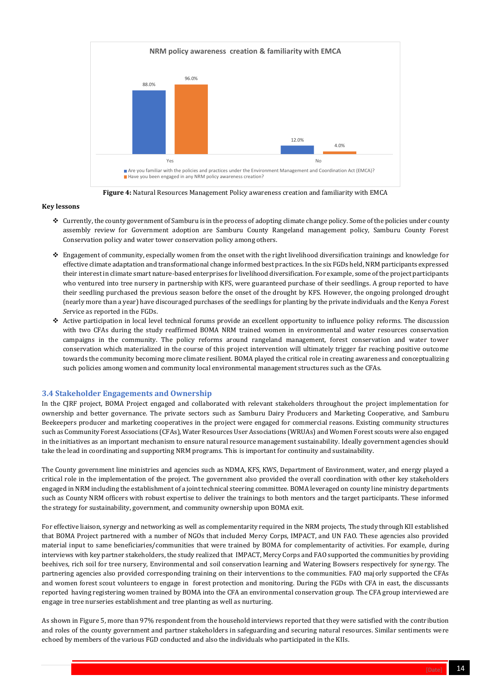

#### **Key lessons**

- ❖ Currently, the county government of Samburu is in the process of adopting climate change policy. Some of the policies under county assembly review for Government adoption are Samburu County Rangeland management policy, Samburu County Forest Conservation policy and water tower conservation policy among others.
- ❖ Engagement of community, especially women from the onset with the right livelihood diversification trainings and knowledge for effective climate adaptation and transformational change informed best practices. In the six FGDs held, NRM participants expressed their interest in climate smart nature-based enterprises for livelihood diversification. For example, some of the project participants who ventured into tree nursery in partnership with KFS, were guaranteed purchase of their seedlings. A group reported to have their seedling purchased the previous season before the onset of the drought by KFS. However, the ongoing prolonged drought (nearly more than a year) have discouraged purchases of the seedlings for planting by the private individuals and the Kenya *F*orest *S*ervice as reported in the FGDs.
- ❖ Active participation in local level technical forums provide an excellent opportunity to influence policy reforms. The discussion with two CFAs during the study reaffirmed BOMA NRM trained women in environmental and water resources conservation campaigns in the community. The policy reforms around rangeland management, forest conservation and water tower conservation which materialized in the course of this project intervention will ultimately trigger far reaching positive outcome towards the community becoming more climate resilient. BOMA played the critical role in creating awareness and conceptualizing such policies among women and community local environmental management structures such as the CFAs.

# <span id="page-13-0"></span>**3.4 Stakeholder Engagements and Ownership**

In the CJRF project, BOMA Project engaged and collaborated with relevant stakeholders throughout the project implementation for ownership and better governance. The private sectors such as Samburu Dairy Producers and Marketing Cooperative, and Samburu Beekeepers producer and marketing cooperatives in the project were engaged for commercial reasons. Existing community structures such as Community Forest Associations (CFAs), Water Resources User Associations (WRUAs) and Women Forest scouts were also engaged in the initiatives as an important mechanism to ensure natural resource management sustainability. Ideally government agencies should take the lead in coordinating and supporting NRM programs. This is important for continuity and sustainability.



**Figure 4:** Natural Resources Management Policy awareness creation and familiarity with EMCA

The County government line ministries and agencies such as NDMA, KFS, KWS, Department of Environment, water, and energy played a critical role in the implementation of the project. The government also provided the overall coordination with other key stakeholders engaged in NRM including the establishment of a joint technical steering committee. BOMA leveraged on county line ministry departments such as County NRM officers with robust expertise to deliver the trainings to both mentors and the target participants. These informed the strategy for sustainability, government, and community ownership upon BOMA exit.

For effective liaison, synergy and networking as well as complementarity required in the NRM projects, The study through KII established that BOMA Project partnered with a number of NGOs that included Mercy Corps, IMPACT, and UN FAO. These agencies also provided material input to same beneficiaries/communities that were trained by BOMA for complementarity of activities. For example, during interviews with key partner stakeholders, the study realized that IMPACT, Mercy Corps and FAO supported the communities by providing beehives, rich soil for tree nursery, Environmental and soil conservation learning and Watering Bowsers respectively for synergy. The partnering agencies also provided corresponding training on their interventions to the communities. FAO majorly supported the CFAs and women forest scout volunteers to engage in forest protection and monitoring. During the FGDs with CFA in east, the discussants reported having registering women trained by BOMA into the CFA an environmental conservation group. The CFA group interviewed are engage in tree nurseries establishment and tree planting as well as nurturing.

As shown in Figure 5, more than 97% respondent from the household interviews reported that they were satisfied with the contribution and roles of the county government and partner stakeholders in safeguarding and securing natural resources. Similar sentiments were echoed by members of the various FGD conducted and also the individuals who participated in the KIIs.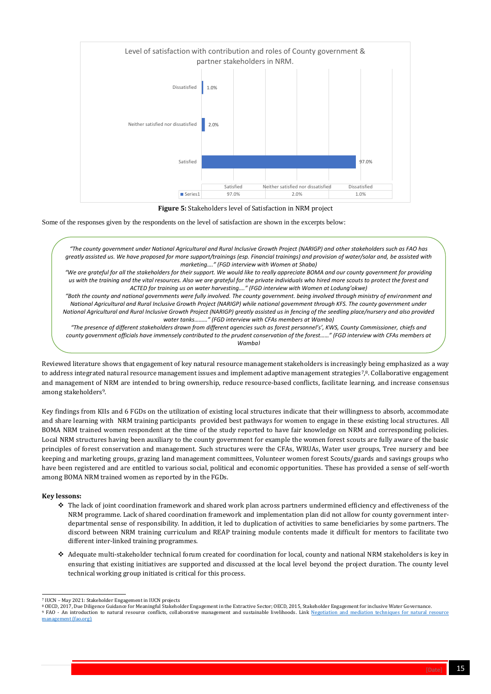

Some of the responses given by the respondents on the level of satisfaction are shown in the excerpts below:

.<br>Reviewed literature shows that engagement of key natural resource management stakeholders is increasingly being emphasized as a way to address integrated natural resource management issues and implement adaptive management strategies<sup>7</sup>,8. Collaborative engagement and management of NRM are intended to bring ownership, reduce resource-based conflicts, facilitate learning, and increase consensus among stakeholders9.

Key findings from KIIs and 6 FGDs on the utilization of existing local structures indicate that their willingness to absorb, accommodate and share learning with NRM training participants provided best pathways for women to engage in these existing local structures. All BOMA NRM trained women respondent at the time of the study reported to have fair knowledge on NRM and corresponding policies. Local NRM structures having been auxiliary to the county government for example the women forest scouts are fully aware of the basic principles of forest conservation and management. Such structures were the CFAs, WRUAs, Water user groups, Tree nursery and bee keeping and marketing groups, grazing land management committees, Volunteer women forest Scouts/guards and savings groups who have been registered and are entitled to various social, political and economic opportunities. These has provided a sense of self-worth among BOMA NRM trained women as reported by in the FGDs.



**Figure 5:** Stakeholders level of Satisfaction in NRM project

#### **Key lessons:**

❖ The lack of joint coordination framework and shared work plan across partners undermined efficiency and effectiveness of the NRM programme. Lack of shared coordination framework and implementation plan did not allow for county government interdepartmental sense of responsibility. In addition, it led to duplication of activities to same beneficiaries by some partners. The

discord between NRM training curriculum and REAP training module contents made it difficult for mentors to facilitate two different inter-linked training programmes.

❖ Adequate multi-stakeholder technical forum created for coordination for local, county and national NRM stakeholders is key in ensuring that existing initiatives are supported and discussed at the local level beyond the project duration. The county level technical working group initiated is critical for this process.

*"The county government under National Agricultural and Rural Inclusive Growth Project (NARIGP) and other stakeholders such as FAO has greatly assisted us. We have proposed for more support/trainings (esp. Financial trainings) and provision of water/solar and, be assisted with marketing…." (FGD interview with Women at Shaba) "We are grateful for all the stakeholders for their support. We would like to really appreciate BOMA and our county government for providing us with the training and the vital resources. Also we are grateful for the private individuals who hired more scouts to protect the forest and ACTED for training us on water harvesting…." (FGD interview with Women at Lodung'okwe) "Both the county and national governments were fully involved. The county government. being involved through ministry of environment and National Agricultural and Rural Inclusive Growth Project (NARIGP) while national government through KFS. The county government under National Agricultural and Rural Inclusive Growth Project (NARIGP) greatly assisted us in fencing of the seedling place/nursery and also provided water tanks………" (FGD interview with CFAs members at Wamba) "The presence of different stakeholders drawn from different agencies such as forest personnel's', KWS, County Commissioner, chiefs and county government officials have immensely contributed to the prudent conservation of the forest……" (FGD interview with CFAs members at Wamba)*

*"The project brought all stakeholders together with each assigned a specific role. It provided a platform for working together and sharing. The* 

<sup>8</sup> OECD, 2017, Due Diligence Guidance for Meaningful Stakeholder Engagement in the Extractive Sector; OECD, 2015, Stakeholder Engagement for inclusive Water Governance. 9 FAO - An introduction to natural resource conflicts, collaborative management and sustainable livelihoods. Link Negotiation and mediation techniques for natural resource [management \(fao.org\)](https://www.fao.org/3/a0032e/a0032e04.htm)

<sup>7</sup> IUCN – May 2021: Stakeholder Engagement in IUCN projects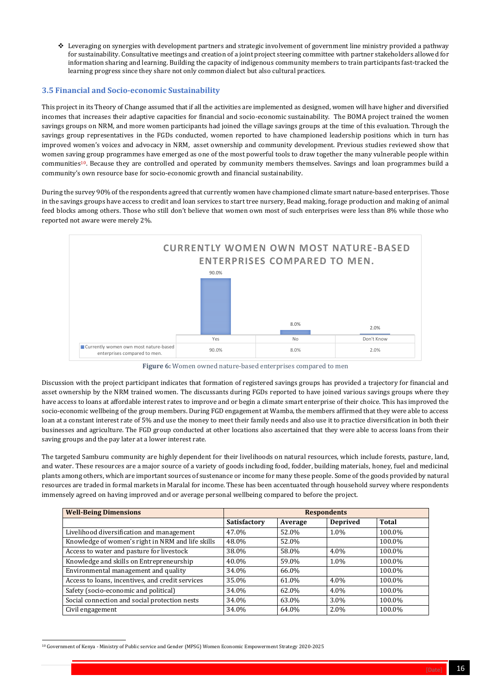

❖ Leveraging on synergies with development partners and strategic involvement of government line ministry provided a pathway for sustainability. Consultative meetings and creation of a joint project steering committee with partner stakeholders allowed for information sharing and learning. Building the capacity of indigenous community members to train participants fast-tracked the learning progress since they share not only common dialect but also cultural practices.

# <span id="page-15-0"></span>**3.5 Financial and Socio-economic Sustainability**

This project in its Theory of Change assumed that if all the activities are implemented as designed, women will have higher and diversified incomes that increases their adaptive capacities for financial and socio-economic sustainability. The BOMA project trained the women savings groups on NRM, and more women participants had joined the village savings groups at the time of this evaluation. Through the savings group representatives in the FGDs conducted, women reported to have championed leadership positions which in turn has improved women's voices and advocacy in NRM, asset ownership and community development. Previous studies reviewed show that women saving group programmes have emerged as one of the most powerful tools to draw together the many vulnerable people within communities10. Because they are controlled and operated by community members themselves. Savings and loan programmes build a community's own resource base for socio-economic growth and financial sustainability.

During the survey 90% of the respondents agreed that currently women have championed climate smart nature-based enterprises. Those in the savings groups have access to credit and loan services to start tree nursery, Bead making, forage production and making of animal feed blocks among others. Those who still don't believe that women own most of such enterprises were less than 8% while those who reported not aware were merely 2%.

Discussion with the project participant indicates that formation of registered savings groups has provided a trajectory for financial and asset ownership by the NRM trained women. The discussants during FGDs reported to have joined various savings groups where they have access to loans at affordable interest rates to improve and or begin a climate smart enterprise of their choice. This has improved the socio-economic wellbeing of the group members. During FGD engagement at Wamba, the members affirmed that they were able to access loan at a constant interest rate of 5% and use the money to meet their family needs and also use it to practice diversification in both their businesses and agriculture. The FGD group conducted at other locations also ascertained that they were able to access loans from their saving groups and the pay later at a lower interest rate.



**Figure 6:** Women owned nature-based enterprises compared to men

The targeted Samburu community are highly dependent for their livelihoods on natural resources, which include forests, pasture, land, and water. These resources are a major source of a variety of goods including food, fodder, building materials, honey, fuel and medicinal plants among others, which are important sources of sustenance or income for many these people. Some of the goods provided by natural resources are traded in formal markets in Maralal for income. These has been accentuated through household survey where respondents immensely agreed on having improved and or average personal wellbeing compared to before the project.

| <b>Well-Being Dimensions</b>                      | <b>Respondents</b>  |         |                 |              |
|---------------------------------------------------|---------------------|---------|-----------------|--------------|
|                                                   | <b>Satisfactory</b> | Average | <b>Deprived</b> | <b>Total</b> |
| Livelihood diversification and management         | 47.0%               | 52.0%   | 1.0%            | 100.0%       |
| Knowledge of women's right in NRM and life skills | 48.0%               | 52.0%   |                 | 100.0%       |
| Access to water and pasture for livestock         | 38.0%               | 58.0%   | 4.0%            | 100.0%       |
| Knowledge and skills on Entrepreneurship          | 40.0%               | 59.0%   | 1.0%            | 100.0%       |
| Environmental management and quality              | 34.0%               | 66.0%   |                 | 100.0%       |
| Access to loans, incentives, and credit services  | 35.0%               | 61.0%   | 4.0%            | 100.0%       |
| Safety (socio-economic and political)             | 34.0%               | 62.0%   | 4.0%            | 100.0%       |
| Social connection and social protection nests     | 34.0%               | 63.0%   | 3.0%            | 100.0%       |
| Civil engagement                                  | 34.0%               | 64.0%   | 2.0%            | 100.0%       |

<sup>10</sup> Government of Kenya - Ministry of Public service and Gender (MPSG) Women Economic Empowerment Strategy 2020-2025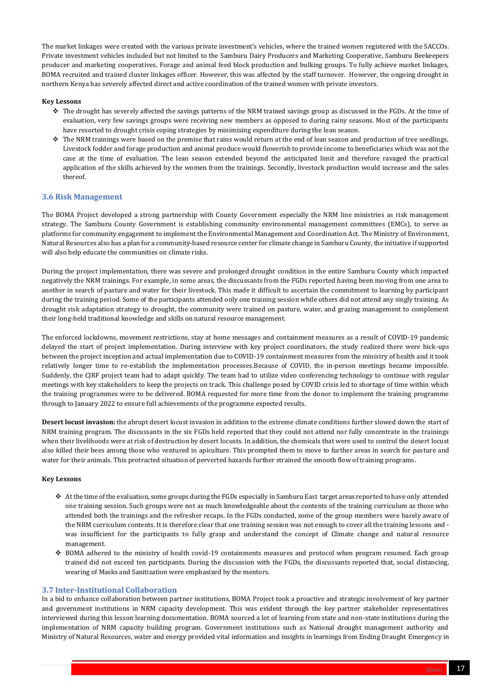

The market linkages were created with the various private investment's vehicles, where the trained women registered with the SACCOs. Private investment vehicles included but not limited to the Samburu Dairy Producers and Marketing Cooperative, Samburu Beekeepers producer and marketing cooperatives, Forage and animal feed block production and bulking groups. To fully achieve market linkages, BOMA recruited and trained cluster linkages officer. However, this was affected by the staff turnover. However, the ongoing drought in northern Kenya has severely affected direct and active coordination of the trained women with private investors.

#### **Key Lessons**

- ❖ The drought has severely affected the savings patterns of the NRM trained savings group as discussed in the FGDs. At the time of evaluation, very few savings groups were receiving new members as opposed to during rainy seasons. Most of the participants have resorted to drought crisis coping strategies by minimising expenditure during the lean season.
- ❖ The NRM trainings were based on the premise that rains would return at the end of lean season and production of tree seedlings, Livestock fodder and forage production and animal produce would flowerish to provide income to beneficiaries which was not the case at the time of evaluation. The lean season extended beyond the anticipated limit and therefore ravaged the practical application of the skills achieved by the women from the trainings. Secondly, livestock production would increase and the sales thereof.

#### <span id="page-16-0"></span>**3.6 Risk Management**

The BOMA Project developed a strong partnership with County Government especially the NRM line ministries as risk management strategy. The Samburu County Government is establishing community environmental management committees (EMCs), to serve as platforms for community engagement to implement the Environmental Management and Coordination Act. The Ministry of Environment, Natural Resources also has a plan for a community-based resource center for climate change in Samburu County, the initiative if supported will also help educate the communities on climate risks.

During the project implementation, there was severe and prolonged drought condition in the entire Samburu County which impacted negatively the NRM trainings. For example, in some areas, the discussants from the FGDs reported having been moving from one area to another in search of pasture and water for their livestock. This made it difficult to ascertain the commitment to learning by participant during the training period. Some of the participants attended only one training session while others did not attend any singly training. As drought risk adaptation strategy to drought, the community were trained on pasture, water, and grazing management to complement their long-held traditional knowledge and skills on natural resource management.

The enforced lockdowns, movement restrictions, stay at home messages and containment measures as a result of COVID-19 pandemic delayed the start of project implementation. During interview with key project coordinators, the study realized there were hick-ups between the project inception and actual implementation due to COVID-19 containment measures from the ministry of health and it took relatively longer time to re-establish the implementation processes.Because of COVID, the in-person meetings became impossible. Suddenly, the CJRF project team had to adapt quickly. The team had to utilize video conferencing technology to continue with regular meetings with key stakeholders to keep the projects on track. This challenge posed by COVID crisis led to shortage of time within which the training programmes were to be delivered. BOMA requested for more time from the donor to implement the training programme through to January 2022 to ensure full achievements of the programme expected results.

**Desert locust invasion:** the abrupt desert locust invasion in addition to the extreme climate conditions further slowed down the start of NRM training program. The discussants in the six FGDs held reported that they could not attend nor fully concentrate in the trainings when their livelihoods were at risk of destruction by desert locusts. In addition, the chemicals that were used to control the desert locust also killed their bees among those who ventured in apiculture. This prompted them to move to further areas in search for pasture and water for their animals. This protracted situation of perverted hazards further strained the smooth flow of training programs.

#### **Key Lessons**

- ❖ At the time of the evaluation, some groups during the FGDs especially in Samburu East target areas reported to have only attended one training session. Such groups were not as much knowledgeable about the contents of the training curriculum as those who attended both the trainings and the refresher recaps. In the FGDs conducted, some of the group members were barely aware of the NRM curriculum contents. It is therefore clear that one training session was not enough to cover all the training lessons and was insufficient for the participants to fully grasp and understand the concept of Climate change and natural resource management.
- ❖ BOMA adhered to the ministry of health covid-19 containments measures and protocol when program resumed. Each group trained did not exceed ten participants. During the discussion with the FGDs, the discussants reported that, social distancing, wearing of Masks and Sanitization were emphasized by the mentors.

#### <span id="page-16-1"></span>**3.7 Inter-Institutional Collaboration**

In a bid to enhance collaboration between partner institutions, BOMA Project took a proactive and strategic involvement of key partner and government institutions in NRM capacity development. This was evident through the key partner stakeholder representatives interviewed during this lesson learning documentation. BOMA sourced a lot of learning from state and non-state institutions during the implementation of NRM capacity building program. Government institutions such as National drought management authority and Ministry of Natural Resources, water and energy provided vital information and insights in learnings from Ending Draught Emergency in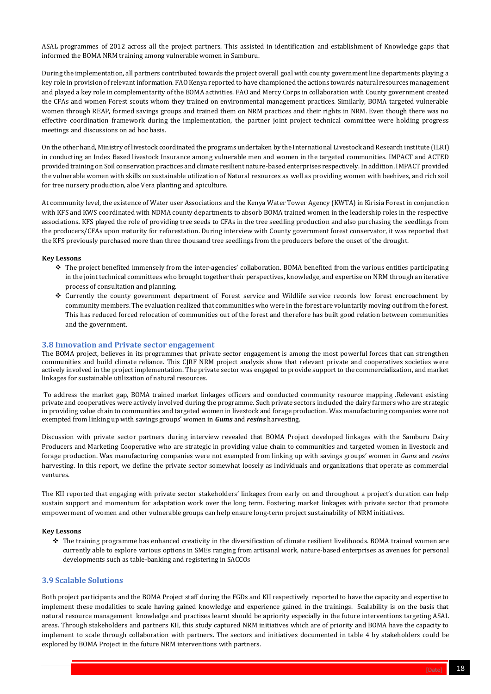

ASAL programmes of 2012 across all the project partners. This assisted in identification and establishment of Knowledge gaps that informed the BOMA NRM training among vulnerable women in Samburu.

During the implementation, all partners contributed towards the project overall goal with county government line departments playing a key role in provision of relevant information. FAO Kenya reported to have championed the actions towards natural resources management and played a key role in complementarity of the BOMA activities. FAO and Mercy Corps in collaboration with County government created the CFAs and women Forest scouts whom they trained on environmental management practices. Similarly, BOMA targeted vulnerable women through REAP, formed savings groups and trained them on NRM practices and their rights in NRM. Even though there was no effective coordination framework during the implementation, the partner joint project technical committee were holding progress meetings and discussions on ad hoc basis.

On the other hand, Ministry of livestock coordinated the programs undertaken by the International Livestock and Research institute (ILRI) in conducting an Index Based livestock Insurance among vulnerable men and women in the targeted communities. IMPACT and ACTED provided training on Soil conservation practices and climate resilient nature-based enterprises respectively. In addition, IMPACT provided the vulnerable women with skills on sustainable utilization of Natural resources as well as providing women with beehives, and rich soil for tree nursery production, aloe Vera planting and apiculture.

At community level, the existence of Water user Associations and the Kenya Water Tower Agency (KWTA) in Kirisia Forest in conjunction with KFS and KWS coordinated with NDMA county departments to absorb BOMA trained women in the leadership roles in the respective associations*.* KFS played the role of providing tree seeds to CFAs in the tree seedling production and also purchasing the seedlings from the producers/CFAs upon maturity for reforestation. During interview with County government forest conservator, it was reported that the KFS previously purchased more than three thousand tree seedlings from the producers before the onset of the drought.

#### **Key Lessons**

- ❖ The project benefited immensely from the inter-agencies' collaboration. BOMA benefited from the various entities participating in the joint technical committees who brought together their perspectives, knowledge, and expertise on NRM through an iterative process of consultation and planning.
- ❖ Currently the county government department of Forest service and Wildlife service records low forest encroachment by community members. The evaluation realized that communities who were in the forest are voluntarily moving out from the forest. This has reduced forced relocation of communities out of the forest and therefore has built good relation between communities and the government.

# <span id="page-17-0"></span>**3.8 Innovation and Private sector engagement**

The BOMA project, believes in its programmes that private sector engagement is among the most powerful forces that can strengthen communities and build climate reliance. This CJRF NRM project analysis show that relevant private and cooperatives societies were actively involved in the project implementation. The private sector was engaged to provide support to the commercialization, and market linkages for sustainable utilization of natural resources.

To address the market gap, BOMA trained market linkages officers and conducted community resource mapping .Relevant existing private and cooperatives were actively involved during the programme. Such private sectors included the dairy farmers who are strategic in providing value chain to communities and targeted women in livestock and forage production. Wax manufacturing companies were not exempted from linking up with savings groups' women in *Gums* and *resins* harvesting.

Discussion with private sector partners during interview revealed that BOMA Project developed linkages with the Samburu Dairy Producers and Marketing Cooperative who are strategic in providing value chain to communities and targeted women in livestock and forage production. Wax manufacturing companies were not exempted from linking up with savings groups' women in *Gums* and *resins* harvesting. In this report, we define the private sector somewhat loosely as individuals and organizations that operate as commercial ventures.

The KII reported that engaging with private sector stakeholders' linkages from early on and throughout a project's duration can help sustain support and momentum for adaptation work over the long term. Fostering market linkages with private sector that promote empowerment of women and other vulnerable groups can help ensure long-term project sustainability of NRM initiatives.

#### **Key Lessons**

❖ The training programme has enhanced creativity in the diversification of climate resilient livelihoods. BOMA trained women are currently able to explore various options in SMEs ranging from artisanal work, nature-based enterprises as avenues for personal developments such as table-banking and registering in SACCOs

# <span id="page-17-1"></span>**3.9 Scalable Solutions**

Both project participants and the BOMA Project staff during the FGDs and KII respectively reported to have the capacity and expertise to implement these modalities to scale having gained knowledge and experience gained in the trainings. Scalability is on the basis that natural resource management knowledge and practises learnt should be apriority especially in the future interventions targeting ASAL areas. Through stakeholders and partners KII, this study captured NRM initiatives which are of priority and BOMA have the capacity to implement to scale through collaboration with partners. The sectors and initiatives documented in table 4 by stakeholders could be explored by BOMA Project in the future NRM interventions with partners.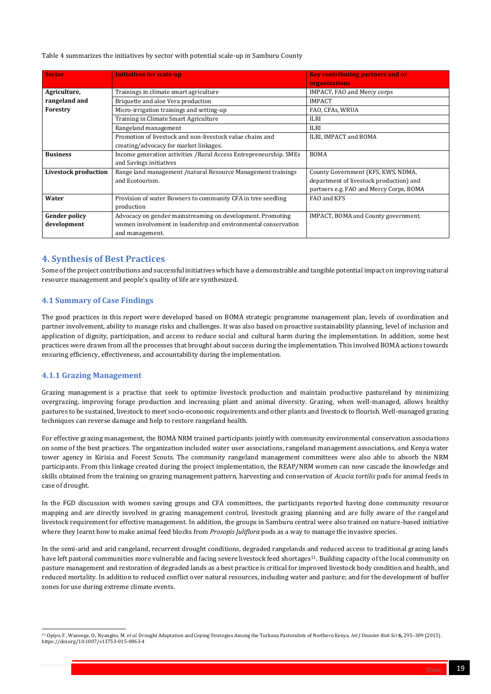Table 4 summarizes the initiatives by sector with potential scale-up in Samburu County

| <b>Sector</b>               | <b>Initiatives for scale-up</b>                                    | <b>Key contributing partners and or</b> |
|-----------------------------|--------------------------------------------------------------------|-----------------------------------------|
|                             |                                                                    | organizations                           |
| Agriculture,                | Trainings in climate smart agriculture                             | IMPACT, FAO and Mercy corps             |
| rangeland and               | Briquette and aloe Vera production                                 | <b>IMPACT</b>                           |
| Forestry                    | Micro-irrigation trainings and setting-up                          | FAO, CFAs, WRUA                         |
|                             | Training in Climate Smart Agriculture                              | <b>ILRI</b>                             |
|                             | Rangeland management                                               | <b>ILRI</b>                             |
|                             | Promotion of livestock and non-livestock value chains and          | ILRI, IMPACT and BOMA                   |
|                             | creating/advocacy for market linkages.                             |                                         |
| <b>Business</b>             | Income generation activities / Rural Access Entrepreneurship. SMEs | <b>BOMA</b>                             |
|                             | and Savings initiatives                                            |                                         |
| <b>Livestock production</b> | Range land management /natural Resource Management trainings       | County Government (KFS, KWS, NDMA,      |
|                             | and Ecotourism.                                                    | department of livestock production) and |
|                             |                                                                    | partners e.g. FAO and Mercy Corps, BOMA |
| Water                       | Provision of water Bowsers to community CFA in tree seedling       | FAO and KFS                             |
|                             | production                                                         |                                         |
| <b>Gender policy</b>        | Advocacy on gender mainstreaming on development. Promoting         | IMPACT, BOMA and County government.     |
| development                 | women involvement in leadership and environmental conservation     |                                         |
|                             | and management.                                                    |                                         |

# <span id="page-18-0"></span>**4. Synthesis of Best Practices**

Some of the project contributions and successful initiatives which have a demonstrable and tangible potential impact on improving natural resource management and people's quality of life are synthesized.

# <span id="page-18-1"></span>**4.1 Summary of Case Findings**

The good practices in this report were developed based on BOMA strategic programme management plan, levels of coordination and partner involvement, ability to manage risks and challenges. It was also based on proactive sustainability planning, level of inclusion and application of dignity, participation, and access to reduce social and cultural harm during the implementation. In addition, some best practices were drawn from all the processes that brought about success during the implementation. This involved BOMA actions towards ensuring efficiency, effectiveness, and accountability during the implementation.

# <span id="page-18-2"></span>**4.1.1 Grazing Management**

<sup>11</sup> Opiyo, F., Wasonga, O., Nyangito, M. *et al.* Drought Adaptation and Coping Strategies Among the Turkana Pastoralists of Northern Kenya. *Int J Disaster Risk Sci* **6,** 295–309 (2015). https://doi.org/10.1007/s13753-015-0063-4



Grazing management is a practise that seek to optimize livestock production and maintain productive pastureland by minimizing overgrazing, improving forage production and increasing plant and animal diversity. Grazing, when well-managed, allows healthy pastures to be sustained, livestock to meet socio-economic requirements and other plants and livestock to flourish. Well-managed grazing techniques can reverse damage and help to restore rangeland health.

For effective grazing management, the BOMA NRM trained participants jointly with community environmental conservation associations on some of the best practices. The organization included water user associations, rangeland management associations, and Kenya water tower agency in Kirisia and Forest Scouts. The community rangeland management committees were also able to absorb the NRM participants. From this linkage created during the project implementation, the REAP/NRM women can now cascade the knowledge and skills obtained from the training on grazing management pattern, harvesting and conservation of *Acacia tortilis* pods for animal feeds in case of drought.

In the FGD discussion with women saving groups and CFA committees, the participants reported having done community resource mapping and are directly involved in grazing management control, livestock grazing planning and are fully aware of the rangeland livestock requirement for effective management. In addition, the groups in Samburu central were also trained on nature-based initiative where they learnt how to make animal feed blocks from *Prosopis Juliflora* pods as a way to manage the invasive species.

In the semi-arid and arid rangeland, recurrent drought conditions, degraded rangelands and reduced access to traditional grazing lands have left pastoral communities more vulnerable and facing severe livestock feed shortages<sup>11</sup>. Building capacity of the local community on pasture management and restoration of degraded lands as a best practice is critical for improved livestock body condition and health, and reduced mortality. In addition to reduced conflict over natural resources, including water and pasture; and for the development of buffer zones for use during extreme climate events.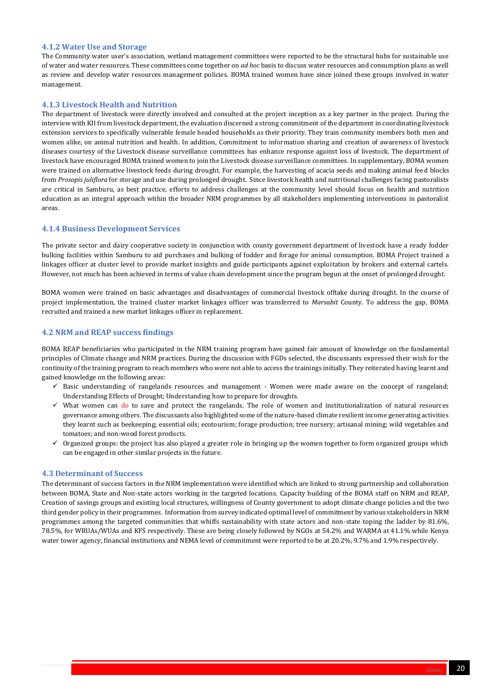

#### <span id="page-19-0"></span>**4.1.2 Water Use and Storage**

The Community water user's association, wetland management committees were reported to be the structural hubs for sustainable use of water and water resources. These committees come together on *ad hoc* basis to discuss water resources and consumption plans as well as review and develop water resources management policies. BOMA trained women have since joined these groups involved in water management.

#### <span id="page-19-1"></span>**4.1.3 Livestock Health and Nutrition**

The department of livestock were directly involved and consulted at the project inception as a key partner in the project. During the interview with KII from livestock department, the evaluation discerned a strong commitment of the department in coordinating livestock extension services to specifically vulnerable female headed households as their priority. They train community members both men and women alike, on animal nutrition and health. In addition, Commitment to information sharing and creation of awareness of livestock diseases courtesy of the Livestock disease surveillance committees has enhance response against loss of livestock. The department of livestock have encouraged BOMA trained women to join the Livestock disease surveillance committees. In supplementary, BOMA women were trained on alternative livestock feeds during drought. For example, the harvesting of acacia seeds and making animal feed blocks from *Prosopis juliflora* for storage and use during prolonged drought. Since livestock health and nutritional challenges facing pastoralists are critical in Samburu, as best practice, efforts to address challenges at the community level should focus on health and nutrition education as an integral approach within the broader NRM programmes by all stakeholders implementing interventions in pastoralist areas.

# <span id="page-19-2"></span>**4.1.4 Business Development Services**

The private sector and dairy cooperative society in conjunction with county government department of livestock have a ready fodder bulking facilities within Samburu to aid purchases and bulking of fodder and forage for animal consumption. BOMA Project trained a linkages officer at cluster level to provide market insights and guide participants against exploitation by brokers and external cartels. However, not much has been achieved in terms of value chain development since the program begun at the onset of prolonged drought.

BOMA women were trained on basic advantages and disadvantages of commercial livestock offtake during drought. In the course of project implementation, the trained cluster market linkages officer was transferred to *Marsabit* County. To address the gap, BOMA recruited and trained a new market linkages officer in replacement.

# <span id="page-19-3"></span>**4.2 NRM and REAP success findings**

BOMA REAP beneficiaries who participated in the NRM training program have gained fair amount of knowledge on the fundamental principles of Climate change and NRM practices. During the discussion with FGDs selected, the discussants expressed their wish for the continuity of the training program to reach members who were not able to access the trainings initially. They reiterated having learnt and gained knowledge on the following areas:

- ✓ Basic understanding of rangelands resources and management Women were made aware on the concept of rangeland; Understanding Effects of Drought; Understanding how to prepare for droughts.
- $\checkmark$  What women can do to save and protect the rangelands. The role of women and institutionalization of natural resources governance among others. The discussants also highlighted some of the nature-based climate resilient income generating activities they learnt such as beekeeping; essential oils; ecotourism; forage production; tree nursery; artisanal mining; wild vegetables and tomatoes; and non-wood forest products.
- $\checkmark$  Organized groups: the project has also played a greater role in bringing up the women together to form organized groups which can be engaged in other similar projects in the future.

# <span id="page-19-4"></span>**4.3 Determinant of Success**

The determinant of success factors in the NRM implementation were identified which are linked to strong partnership and collaboration between BOMA, State and Non-state actors working in the targeted locations. Capacity building of the BOMA staff on NRM and REAP, Creation of savings groups and existing local structures, willingness of County government to adopt climate change policies and the two third gender policy in their programmes. Information from survey indicated optimal level of commitment by various stakeholders in NRM programmes among the targeted communities that whiffs sustainability with state actors and non-state toping the ladder by 81.6%, 78.5%, for WRUAs/WUAs and KFS respectively. These are being closely followed by NGOs at 54.2% and WARMA at 41.1% while Kenya water tower agency, financial institutions and NEMA level of commitment were reported to be at 20.2%, 9.7% and 1.9% respectively.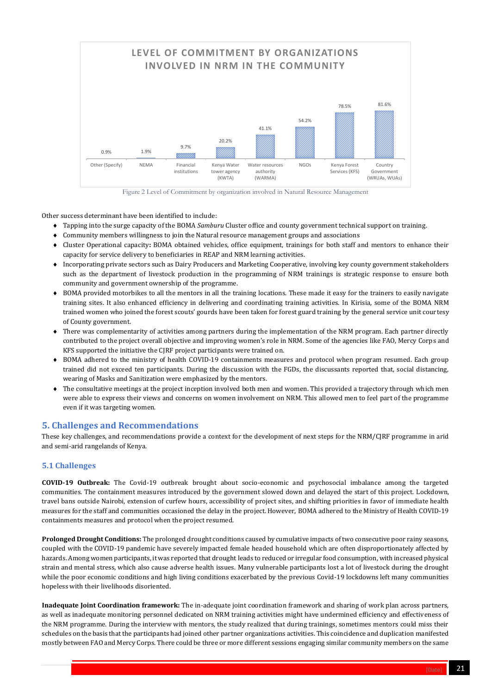

Other success determinant have been identified to include:

- Tapping into the surge capacity of the BOMA *Samburu* Cluster office and county government technical support on training.
- Community members willingness to join the Natural resource management groups and associations
- Cluster Operational capacity**:** BOMA obtained vehicles, office equipment, trainings for both staff and mentors to enhance their capacity for service delivery to beneficiaries in REAP and NRM learning activities.
- Incorporating private sectors such as Dairy Producers and Marketing Cooperative, involving key county government stakeholders such as the department of livestock production in the programming of NRM trainings is strategic response to ensure both community and government ownership of the programme.
- BOMA provided motorbikes to all the mentors in all the training locations. These made it easy for the trainers to easily navigate training sites. It also enhanced efficiency in delivering and coordinating training activities. In Kirisia, some of the BOMA NRM trained women who joined the forest scouts' gourds have been taken for forest guard training by the general service unit courtesy of County government.
- There was complementarity of activities among partners during the implementation of the NRM program. Each partner directly contributed to the project overall objective and improving women's role in NRM. Some of the agencies like FAO, Mercy Corps and KFS supported the initiative the CJRF project participants were trained on.
- BOMA adhered to the ministry of health COVID-19 containments measures and protocol when program resumed. Each group trained did not exceed ten participants. During the discussion with the FGDs, the discussants reported that, social distancing, wearing of Masks and Sanitization were emphasized by the mentors.
- The consultative meetings at the project inception involved both men and women. This provided a trajectory through which men were able to express their views and concerns on women involvement on NRM. This allowed men to feel part of the programme even if it was targeting women.

# <span id="page-20-0"></span>**5. Challenges and Recommendations**



Figure 2 Level of Commitment by organization involved in Natural Resource Management

These key challenges, and recommendations provide a context for the development of next steps for the NRM/CJRF programme in arid and semi-arid rangelands of Kenya.

# <span id="page-20-1"></span>**5.1 Challenges**

**COVID-19 Outbreak:** The Covid-19 outbreak brought about socio-economic and psychosocial imbalance among the targeted communities. The containment measures introduced by the government slowed down and delayed the start of this project. Lockdown, travel bans outside Nairobi, extension of curfew hours, accessibility of project sites, and shifting priorities in favor of immediate health measures for the staff and communities occasioned the delay in the project. However, BOMA adhered to the Ministry of Health COVID-19 containments measures and protocol when the project resumed.

**Prolonged Drought Conditions:** The prolonged drought conditions caused by cumulative impacts of two consecutive poor rainy seasons, coupled with the COVID-19 pandemic have severely impacted female headed household which are often disproportionately affected by hazards. Among women participants, it was reported that drought leads to reduced or irregular food consumption, with increased physical strain and mental stress, which also cause adverse health issues. Many vulnerable participants lost a lot of livestock during the drought while the poor economic conditions and high living conditions exacerbated by the previous Covid-19 lockdowns left many communities hopeless with their livelihoods disoriented.

**Inadequate Joint Coordination framework:** The in-adequate joint coordination framework and sharing of work plan across partners, as well as inadequate monitoring personnel dedicated on NRM training activities might have undermined efficiency and effectiveness of the NRM programme. During the interview with mentors, the study realized that during trainings, sometimes mentors could miss their schedules on the basis that the participants had joined other partner organizations activities. This coincidence and duplication manifested mostly between FAO and Mercy Corps. There could be three or more different sessions engaging similar community members on the same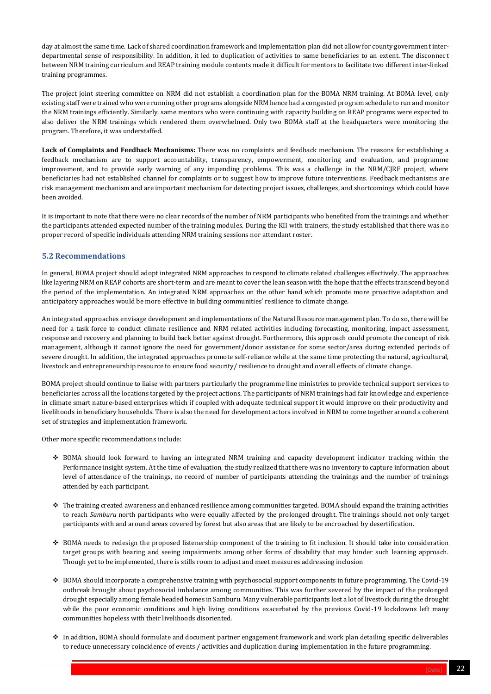[Date] 22

day at almost the same time. Lack of shared coordination framework and implementation plan did not allow for county government interdepartmental sense of responsibility. In addition, it led to duplication of activities to same beneficiaries to an extent. The disconnect between NRM training curriculum and REAP training module contents made it difficult for mentors to facilitate two different inter-linked training programmes.

The project joint steering committee on NRM did not establish a coordination plan for the BOMA NRM training. At BOMA level, only existing staff were trained who were running other programs alongside NRM hence had a congested program schedule to run and monitor the NRM trainings efficiently. Similarly, same mentors who were continuing with capacity building on REAP programs were expected to also deliver the NRM trainings which rendered them overwhelmed. Only two BOMA staff at the headquarters were monitoring the program. Therefore, it was understaffed.

**Lack of Complaints and Feedback Mechanisms:** There was no complaints and feedback mechanism. The reasons for establishing a feedback mechanism are to support accountability, transparency, empowerment, monitoring and evaluation, and programme improvement, and to provide early warning of any impending problems. This was a challenge in the NRM/CJRF project, where beneficiaries had not established channel for complaints or to suggest how to improve future interventions. Feedback mechanisms are risk management mechanism and are important mechanism for detecting project issues, challenges, and shortcomings which could have been avoided.

It is important to note that there were no clear records of the number of NRM participants who benefited from the trainings and whether the participants attended expected number of the training modules. During the KII with trainers, the study established that there was no proper record of specific individuals attending NRM training sessions nor attendant roster.

# <span id="page-21-0"></span>**5.2 Recommendations**

In general, BOMA project should adopt integrated NRM approaches to respond to climate related challenges effectively. The approaches like layering NRM on REAP cohorts are short-term and are meant to cover the lean season with the hope that the effects transcend beyond the period of the implementation. An integrated NRM approaches on the other hand which promote more proactive adaptation and anticipatory approaches would be more effective in building communities' resilience to climate change.

An integrated approaches envisage development and implementations of the Natural Resource management plan. To do so, there will be need for a task force to conduct climate resilience and NRM related activities including forecasting, monitoring, impact assessment, response and recovery and planning to build back better against drought. Furthermore, this approach could promote the concept of risk management, although it cannot ignore the need for government/donor assistance for some sector/area during extended periods of severe drought. In addition, the integrated approaches promote self-reliance while at the same time protecting the natural, agricultural, livestock and entrepreneurship resource to ensure food security/ resilience to drought and overall effects of climate change.

BOMA project should continue to liaise with partners particularly the programme line ministries to provide technical support services to beneficiaries across all the locations targeted by the project actions. The participants of NRM trainings had fair knowledge and experience in climate smart nature-based enterprises which if coupled with adequate technical support it would improve on their productivity and livelihoods in beneficiary households. There is also the need for development actors involved in NRM to come together around a coherent set of strategies and implementation framework.

Other more specific recommendations include:

- ❖ BOMA should look forward to having an integrated NRM training and capacity development indicator tracking within the Performance insight system. At the time of evaluation, the study realized that there was no inventory to capture information about level of attendance of the trainings, no record of number of participants attending the trainings and the number of trainings attended by each participant.
- ❖ The training created awareness and enhanced resilience among communities targeted. BOMA should expand the training activities to reach *Samburu* north participants who were equally affected by the prolonged drought. The trainings should not only target participants with and around areas covered by forest but also areas that are likely to be encroached by desertification.

- ❖ BOMA needs to redesign the proposed listenership component of the training to fit inclusion. It should take into consideration target groups with hearing and seeing impairments among other forms of disability that may hinder such learning approach. Though yet to be implemented, there is stills room to adjust and meet measures addressing inclusion
- ❖ BOMA should incorporate a comprehensive training with psychosocial support components in future programming. The Covid-19 outbreak brought about psychosocial imbalance among communities. This was further severed by the impact of the prolonged drought especially among female headed homes in Samburu. Many vulnerable participants lost a lot of livestock during the drought while the poor economic conditions and high living conditions exacerbated by the previous Covid-19 lockdowns left many communities hopeless with their livelihoods disoriented.
- ❖ In addition, BOMA should formulate and document partner engagement framework and work plan detailing specific deliverables to reduce unnecessary coincidence of events / activities and duplication during implementation in the future programming.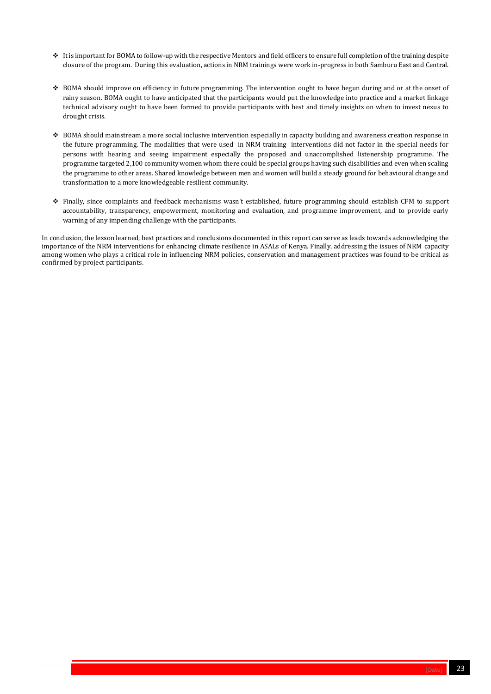

- ❖ It is important for BOMA to follow-up with the respective Mentors and field officers to ensure full completion of the training despite closure of the program. During this evaluation, actions in NRM trainings were work in-progress in both Samburu East and Central.
- ❖ BOMA should improve on efficiency in future programming. The intervention ought to have begun during and or at the onset of rainy season. BOMA ought to have anticipated that the participants would put the knowledge into practice and a market linkage technical advisory ought to have been formed to provide participants with best and timely insights on when to invest nexus to drought crisis.
- ❖ BOMA should mainstream a more social inclusive intervention especially in capacity building and awareness creation response in the future programming. The modalities that were used in NRM training interventions did not factor in the special needs for persons with hearing and seeing impairment especially the proposed and unaccomplished listenership programme. The programme targeted 2,100 community women whom there could be special groups having such disabilities and even when scaling the programme to other areas. Shared knowledge between men and women will build a steady ground for behavioural change and transformation to a more knowledgeable resilient community.
- ❖ Finally, since complaints and feedback mechanisms wasn't established, future programming should establish CFM to support accountability, transparency, empowerment, monitoring and evaluation, and programme improvement, and to provide early warning of any impending challenge with the participants.

In conclusion, the lesson learned, best practices and conclusions documented in this report can serve as leads towards acknowledging the importance of the NRM interventions for enhancing climate resilience in ASALs of Kenya. Finally, addressing the issues of NRM capacity among women who plays a critical role in influencing NRM policies, conservation and management practices was found to be critical as confirmed by project participants.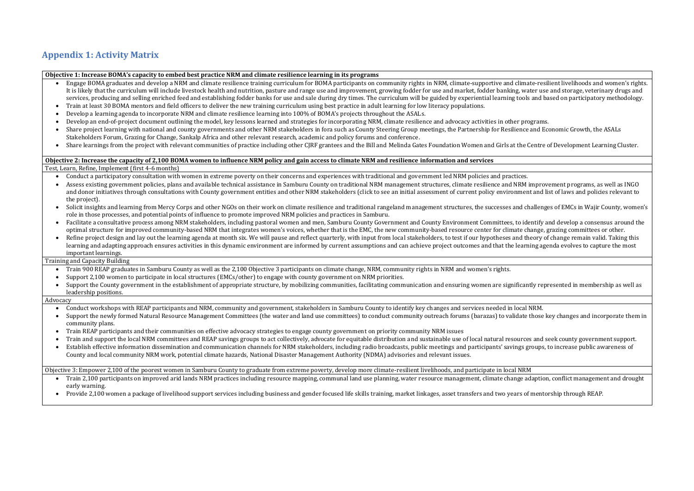# **Appendix 1: Activity Matrix**

#### **Objective 1: Increase BOMA's capacity to embed best practice NRM and climate resilience learning in its programs**

- Engage BOMA graduates and develop a NRM and climate resilience training curriculum for BOMA participants on community rights in NRM, climate-supportive and climate-resilient livelihoods and women's rights. It is likely that the curriculum will include livestock health and nutrition, pasture and range use and improvement, growing fodder for use and market, fodder banking, water use and storage, veterinary drugs and services, producing and selling enriched feed and establishing fodder banks for use and sale during dry times. The curriculum will be guided by experiential learning tools and based on participatory methodology.
- Train at least 30 BOMA mentors and field officers to deliver the new training curriculum using best practice in adult learning for low literacy populations.
- Develop a learning agenda to incorporate NRM and climate resilience learning into 100% of BOMA's projects throughout the ASALs.
- Develop an end-of-project document outlining the model, key lessons learned and strategies for incorporating NRM, climate resilience and advocacy activities in other programs.
- Share project learning with national and county governments and other NRM stakeholders in fora such as County Steering Group meetings, the Partnership for Resilience and Economic Growth, the ASALs Stakeholders Forum, Grazing for Change, Sankalp Africa and other relevant research, academic and policy forums and conference.
- Share learnings from the project with relevant communities of practice including other CJRF grantees and the Bill and Melinda Gates Foundation Women and Girls at the Centre of Development Learning Cluster.

#### **Objective 2: Increase the capacity of 2,100 BOMA women to influence NRM policy and gain access to climate NRM and resilience information and services** Test, Learn, Refine, Implement (first 4-6 months)

- Conduct a participatory consultation with women in extreme poverty on their concerns and experiences with traditional and government led NRM policies and practices.
- Assess existing government policies, plans and available technical assistance in Samburu County on traditional NRM management structures, climate resilience and NRM improvement programs, as well as INGO and donor initiatives through consultations with County government entities and other NRM stakeholders (click to see an initial assessment of current policy environment and list of laws and policies relevant to the project).
- Solicit insights and learning from Mercy Corps and other NGOs on their work on climate resilience and traditional rangeland management structures, the successes and challenges of EMCs in Wajir County, women's role in those processes, and potential points of influence to promote improved NRM policies and practices in Samburu.
- Facilitate a consultative process among NRM stakeholders, including pastoral women and men, Samburu County Government and County Environment Committees, to identify and develop a consensus around the optimal structure for improved community-based NRM that integrates women's voices, whether that is the EMC, the new community-based resource center for climate change, grazing committees or other.
- Refine project design and lay out the learning agenda at month six. We will pause and reflect quarterly, with input from local stakeholders, to test if our hypotheses and theory of change remain valid. Taking this learning and adapting approach ensures activities in this dynamic environment are informed by current assumptions and can achieve project outcomes and that the learning agenda evolves to capture the most important learnings.

#### <span id="page-23-0"></span>Training and Capacity Building

- Train 900 REAP graduates in Samburu County as well as the 2,100 Objective 3 participants on climate change, NRM, community rights in NRM and women's rights.
- Support 2,100 women to participate in local structures (EMCs/other) to engage with county government on NRM priorities.
- Support the County government in the establishment of appropriate structure, by mobilizing communities, facilitating communication and ensuring women are significantly represented in membership as well as leadership positions.

#### Advocacy

- Conduct workshops with REAP participants and NRM, community and government, stakeholders in Samburu County to identify key changes and services needed in local NRM.
- Support the newly formed Natural Resource Management Committees (the water and land use committees) to conduct community outreach forums (barazas) to validate those key changes and incorporate them in community plans.
- Train REAP participants and their communities on effective advocacy strategies to engage county government on priority community NRM issues
- Train and support the local NRM committees and REAP savings groups to act collectively, advocate for equitable distribution and sustainable use of local natural resources and seek county government support.
- Establish effective information dissemination and communication channels for NRM stakeholders, including radio broadcasts, public meetings and participants' savings groups, to increase public awareness of County and local community NRM work, potential climate hazards, National Disaster Management Authority (NDMA) advisories and relevant issues.

Objective 3: Empower 2,100 of the poorest women in Samburu County to graduate from extreme poverty, develop more climate-resilient livelihoods, and participate in local NRM

- Train 2,100 participants on improved arid lands NRM practices including resource mapping, communal land use planning, water resource management, climate change adaption, conflict management and drought early warning.
- Provide 2,100 women a package of livelihood support services including business and gender focused life skills training, market linkages, asset transfers and two years of mentorship through REAP.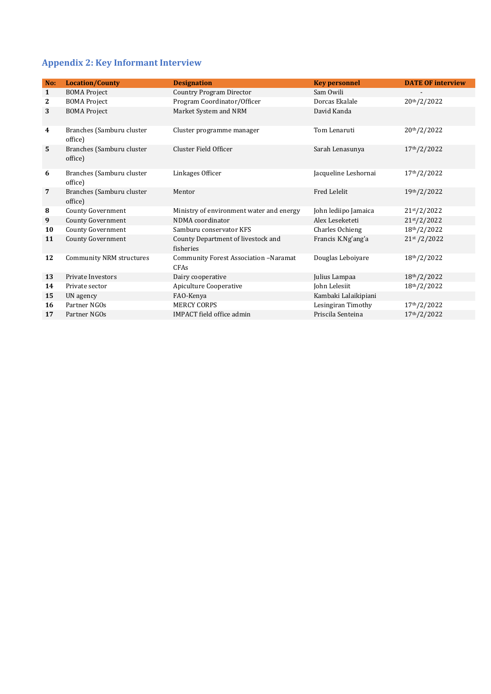# <span id="page-24-0"></span>**Appendix 2: Key Informant Interview**

| No:              | <b>Location/County</b>               | <b>Designation</b>                                          | <b>Key personnel</b> | <b>DATE OF interview</b>  |
|------------------|--------------------------------------|-------------------------------------------------------------|----------------------|---------------------------|
| $\mathbf{1}$     | <b>BOMA Project</b>                  | <b>Country Program Director</b>                             | Sam Owili            |                           |
| $\mathbf{2}$     | <b>BOMA Project</b>                  | Program Coordinator/Officer                                 | Dorcas Ekalale       | 20th/2/2022               |
| 3                | <b>BOMA Project</b>                  | Market System and NRM                                       | David Kanda          |                           |
| $\boldsymbol{4}$ | Branches (Samburu cluster<br>office) | Cluster programme manager                                   | Tom Lenaruti         | 20th/2/2022               |
| $5\phantom{1}$   | Branches (Samburu cluster<br>office) | Cluster Field Officer                                       | Sarah Lenasunya      | 17th/2/2022               |
| 6                | Branches (Samburu cluster<br>office) | Linkages Officer                                            | Jacqueline Leshornai | 17th/2/2022               |
| $\overline{7}$   | Branches (Samburu cluster<br>office) | Mentor                                                      | Fred Lelelit         | 19th/2/2022               |
| 8                | <b>County Government</b>             | Ministry of environment water and energy                    | John lediipo Jamaica | 21st/2/2022               |
| 9                | <b>County Government</b>             | NDMA coordinator                                            | Alex Leseketeti      | 21 <sup>st</sup> /2/2022  |
| 10               | <b>County Government</b>             | Samburu conservator KFS                                     | Charles Ochieng      | 18th/2/2022               |
| 11               | <b>County Government</b>             | County Department of livestock and<br>fisheries             | Francis K.Ng'ang'a   | 21 <sup>st</sup> / 2/2022 |
| 12               | <b>Community NRM structures</b>      | <b>Community Forest Association -Naramat</b><br><b>CFAs</b> | Douglas Leboiyare    | 18th/2/2022               |
| 13               | Private Investors                    | Dairy cooperative                                           | Julius Lampaa        | 18th/2/2022               |
| 14               | Private sector                       | <b>Apiculture Cooperative</b>                               | John Lelesiit        | 18th/2/2022               |
| 15               | UN agency                            | FAO-Kenya                                                   | Kambaki Lalaikipiani |                           |
| <b>16</b>        | Partner NGOs                         | <b>MERCY CORPS</b>                                          | Lesingiran Timothy   | 17th/2/2022               |
| 17               | Partner NGOs                         | <b>IMPACT</b> field office admin                            | Priscila Senteina    | 17th/2/2022               |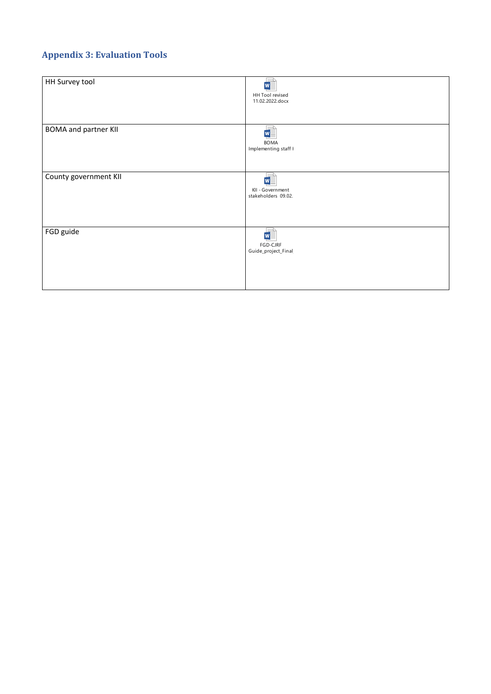# <span id="page-25-0"></span>**Appendix 3: Evaluation Tools**

| HH Survey tool              | W<br>HH Tool revised<br>11.02.2022.docx                    |
|-----------------------------|------------------------------------------------------------|
| <b>BOMA and partner KII</b> | M≣<br><b>BOMA</b><br>Implementing staff I                  |
| County government KII       | $w =$<br>KII - Government<br>stakeholders 09.02.           |
| FGD guide                   | $\overline{\mathbf{w}}$<br>FGD-CJRF<br>Guide_project_Final |